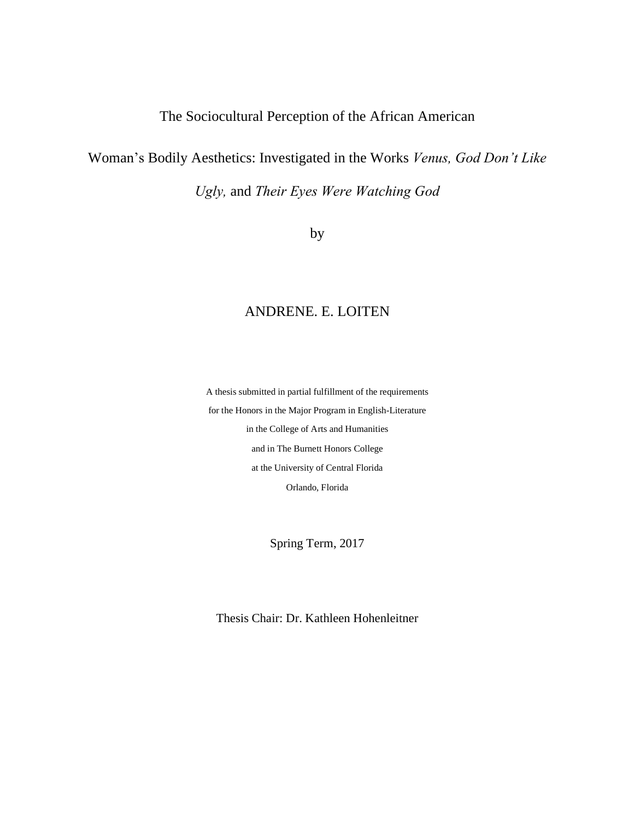# The Sociocultural Perception of the African American

# Woman's Bodily Aesthetics: Investigated in the Works *Venus, God Don't Like*

*Ugly,* and *Their Eyes Were Watching God*

by

# ANDRENE. E. LOITEN

A thesis submitted in partial fulfillment of the requirements for the Honors in the Major Program in English-Literature in the College of Arts and Humanities and in The Burnett Honors College at the University of Central Florida Orlando, Florida

Spring Term, 2017

Thesis Chair: Dr. Kathleen Hohenleitner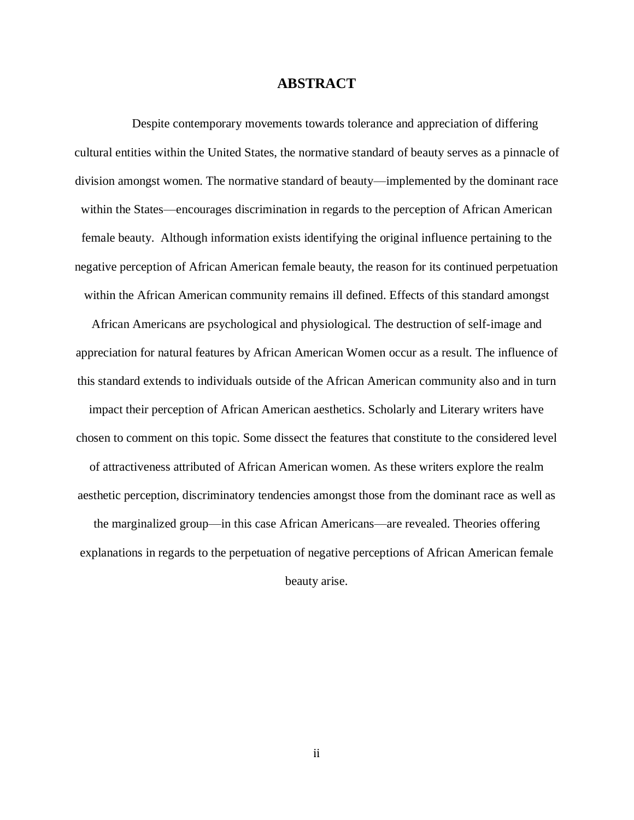# **ABSTRACT**

Despite contemporary movements towards tolerance and appreciation of differing cultural entities within the United States, the normative standard of beauty serves as a pinnacle of division amongst women. The normative standard of beauty—implemented by the dominant race within the States—encourages discrimination in regards to the perception of African American female beauty. Although information exists identifying the original influence pertaining to the negative perception of African American female beauty, the reason for its continued perpetuation within the African American community remains ill defined. Effects of this standard amongst

African Americans are psychological and physiological. The destruction of self-image and appreciation for natural features by African American Women occur as a result. The influence of this standard extends to individuals outside of the African American community also and in turn impact their perception of African American aesthetics. Scholarly and Literary writers have chosen to comment on this topic. Some dissect the features that constitute to the considered level of attractiveness attributed of African American women. As these writers explore the realm aesthetic perception, discriminatory tendencies amongst those from the dominant race as well as the marginalized group—in this case African Americans—are revealed. Theories offering

explanations in regards to the perpetuation of negative perceptions of African American female beauty arise.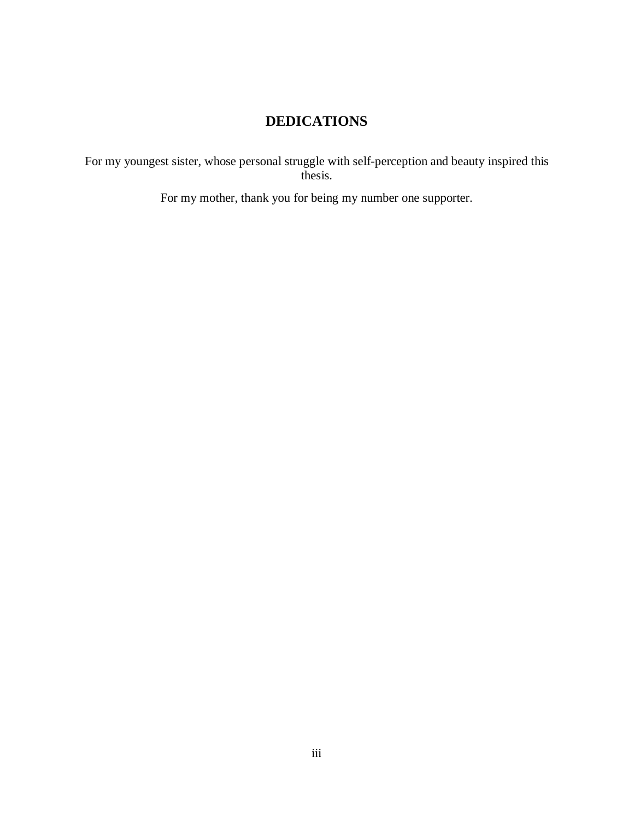# **DEDICATIONS**

For my youngest sister, whose personal struggle with self-perception and beauty inspired this thesis.

For my mother, thank you for being my number one supporter.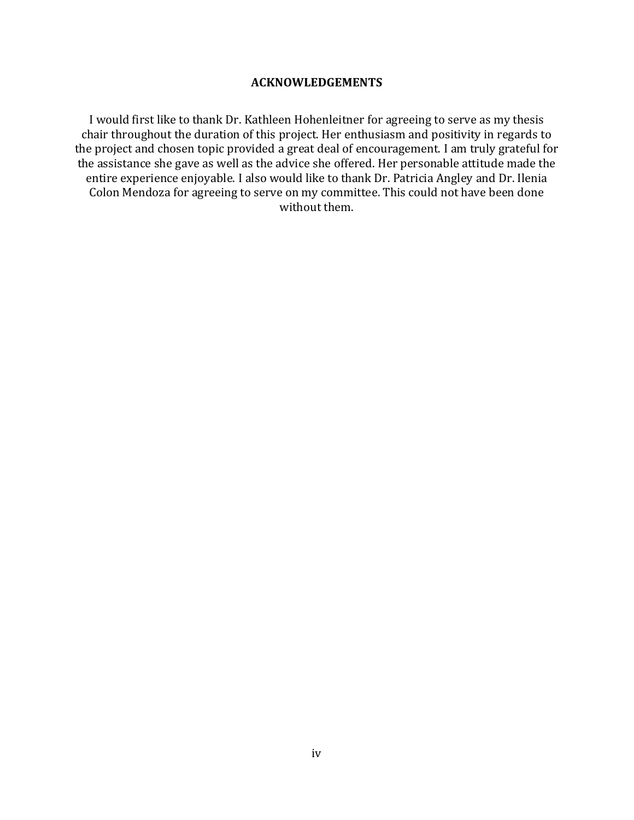# **ACKNOWLEDGEMENTS**

I would first like to thank Dr. Kathleen Hohenleitner for agreeing to serve as my thesis chair throughout the duration of this project. Her enthusiasm and positivity in regards to the project and chosen topic provided a great deal of encouragement. I am truly grateful for the assistance she gave as well as the advice she offered. Her personable attitude made the entire experience enjoyable. I also would like to thank Dr. Patricia Angley and Dr. Ilenia Colon Mendoza for agreeing to serve on my committee. This could not have been done without them.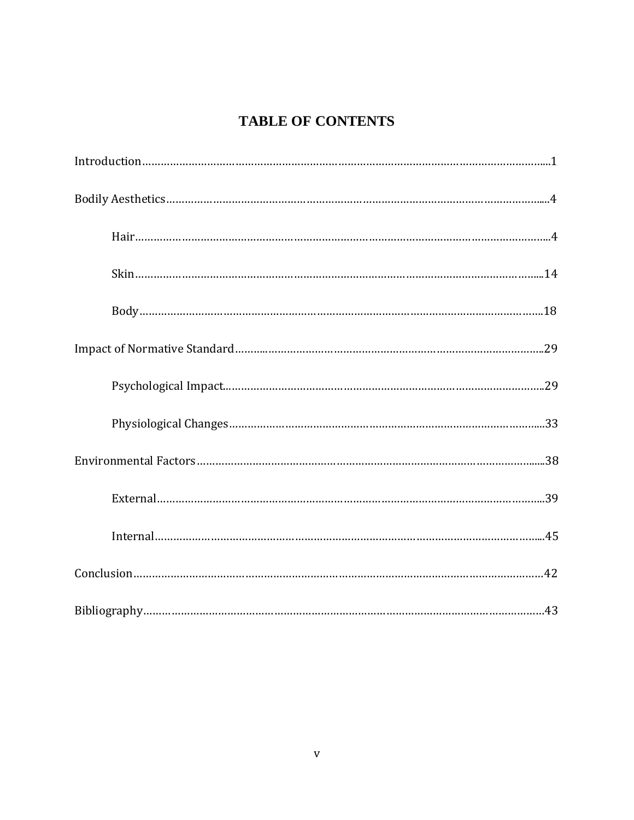# **TABLE OF CONTENTS**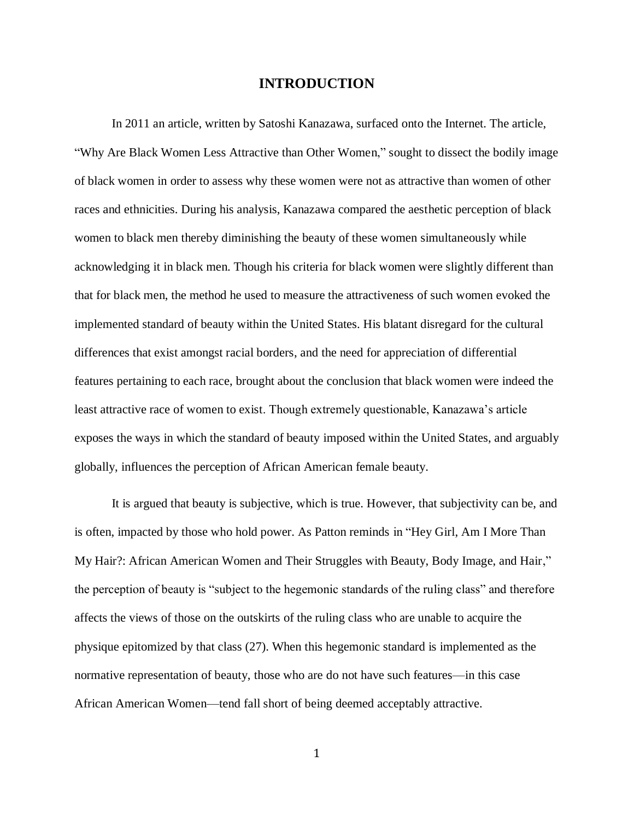# **INTRODUCTION**

In 2011 an article, written by Satoshi Kanazawa, surfaced onto the Internet. The article, "Why Are Black Women Less Attractive than Other Women," sought to dissect the bodily image of black women in order to assess why these women were not as attractive than women of other races and ethnicities. During his analysis, Kanazawa compared the aesthetic perception of black women to black men thereby diminishing the beauty of these women simultaneously while acknowledging it in black men. Though his criteria for black women were slightly different than that for black men, the method he used to measure the attractiveness of such women evoked the implemented standard of beauty within the United States. His blatant disregard for the cultural differences that exist amongst racial borders, and the need for appreciation of differential features pertaining to each race, brought about the conclusion that black women were indeed the least attractive race of women to exist. Though extremely questionable, Kanazawa's article exposes the ways in which the standard of beauty imposed within the United States, and arguably globally, influences the perception of African American female beauty.

It is argued that beauty is subjective, which is true. However, that subjectivity can be, and is often, impacted by those who hold power. As Patton reminds in "Hey Girl, Am I More Than My Hair?: African American Women and Their Struggles with Beauty, Body Image, and Hair," the perception of beauty is "subject to the hegemonic standards of the ruling class" and therefore affects the views of those on the outskirts of the ruling class who are unable to acquire the physique epitomized by that class (27). When this hegemonic standard is implemented as the normative representation of beauty, those who are do not have such features—in this case African American Women—tend fall short of being deemed acceptably attractive.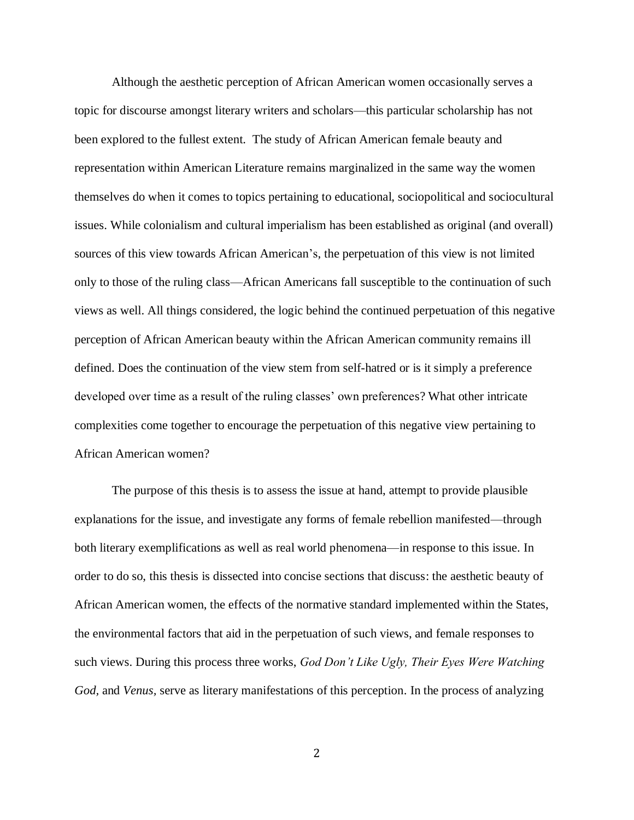Although the aesthetic perception of African American women occasionally serves a topic for discourse amongst literary writers and scholars—this particular scholarship has not been explored to the fullest extent. The study of African American female beauty and representation within American Literature remains marginalized in the same way the women themselves do when it comes to topics pertaining to educational, sociopolitical and sociocultural issues. While colonialism and cultural imperialism has been established as original (and overall) sources of this view towards African American's, the perpetuation of this view is not limited only to those of the ruling class—African Americans fall susceptible to the continuation of such views as well. All things considered, the logic behind the continued perpetuation of this negative perception of African American beauty within the African American community remains ill defined. Does the continuation of the view stem from self-hatred or is it simply a preference developed over time as a result of the ruling classes' own preferences? What other intricate complexities come together to encourage the perpetuation of this negative view pertaining to African American women?

The purpose of this thesis is to assess the issue at hand, attempt to provide plausible explanations for the issue, and investigate any forms of female rebellion manifested—through both literary exemplifications as well as real world phenomena—in response to this issue. In order to do so, this thesis is dissected into concise sections that discuss: the aesthetic beauty of African American women, the effects of the normative standard implemented within the States, the environmental factors that aid in the perpetuation of such views, and female responses to such views. During this process three works, *God Don't Like Ugly, Their Eyes Were Watching God,* and *Venus,* serve as literary manifestations of this perception. In the process of analyzing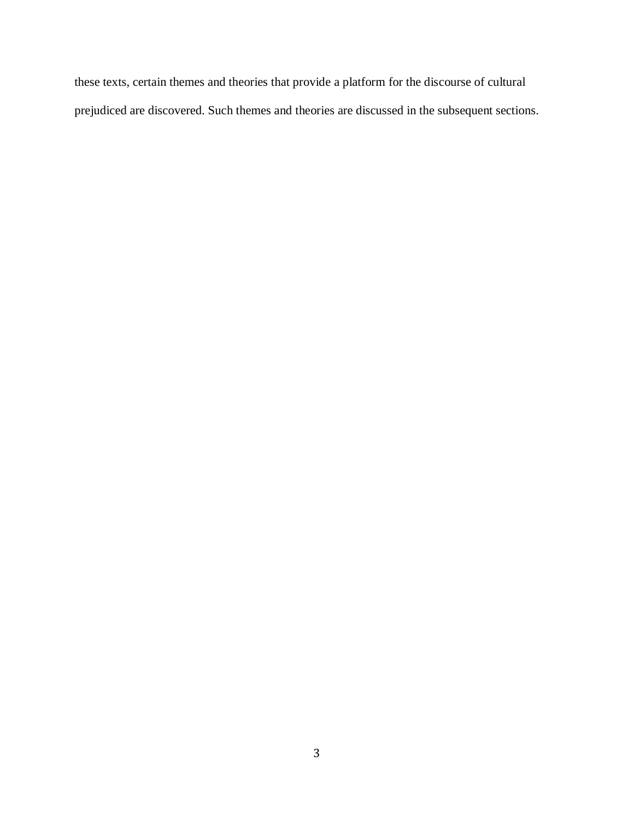these texts, certain themes and theories that provide a platform for the discourse of cultural prejudiced are discovered. Such themes and theories are discussed in the subsequent sections.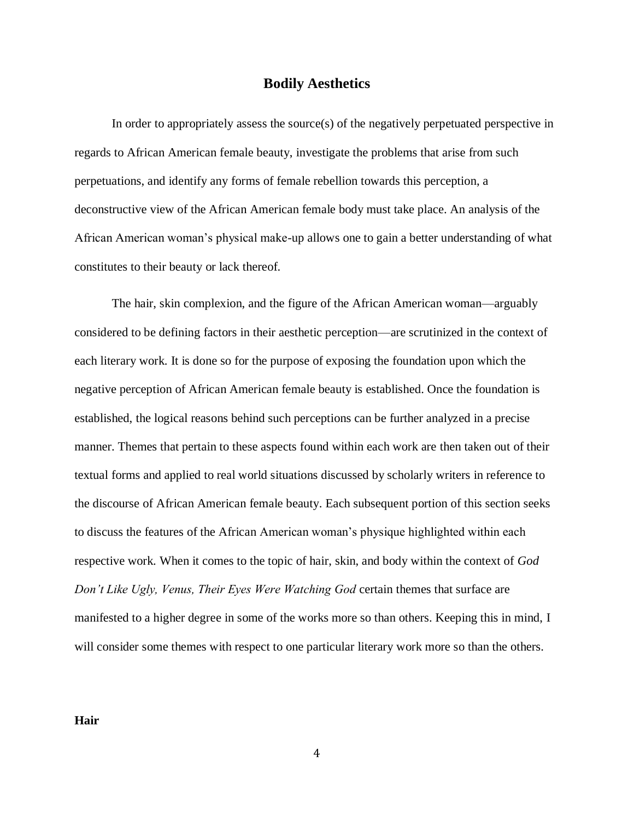# **Bodily Aesthetics**

In order to appropriately assess the source(s) of the negatively perpetuated perspective in regards to African American female beauty, investigate the problems that arise from such perpetuations, and identify any forms of female rebellion towards this perception, a deconstructive view of the African American female body must take place. An analysis of the African American woman's physical make-up allows one to gain a better understanding of what constitutes to their beauty or lack thereof.

The hair, skin complexion, and the figure of the African American woman—arguably considered to be defining factors in their aesthetic perception—are scrutinized in the context of each literary work. It is done so for the purpose of exposing the foundation upon which the negative perception of African American female beauty is established. Once the foundation is established, the logical reasons behind such perceptions can be further analyzed in a precise manner. Themes that pertain to these aspects found within each work are then taken out of their textual forms and applied to real world situations discussed by scholarly writers in reference to the discourse of African American female beauty. Each subsequent portion of this section seeks to discuss the features of the African American woman's physique highlighted within each respective work. When it comes to the topic of hair, skin, and body within the context of *God Don't Like Ugly, Venus, Their Eyes Were Watching God* certain themes that surface are manifested to a higher degree in some of the works more so than others. Keeping this in mind, I will consider some themes with respect to one particular literary work more so than the others.

**Hair**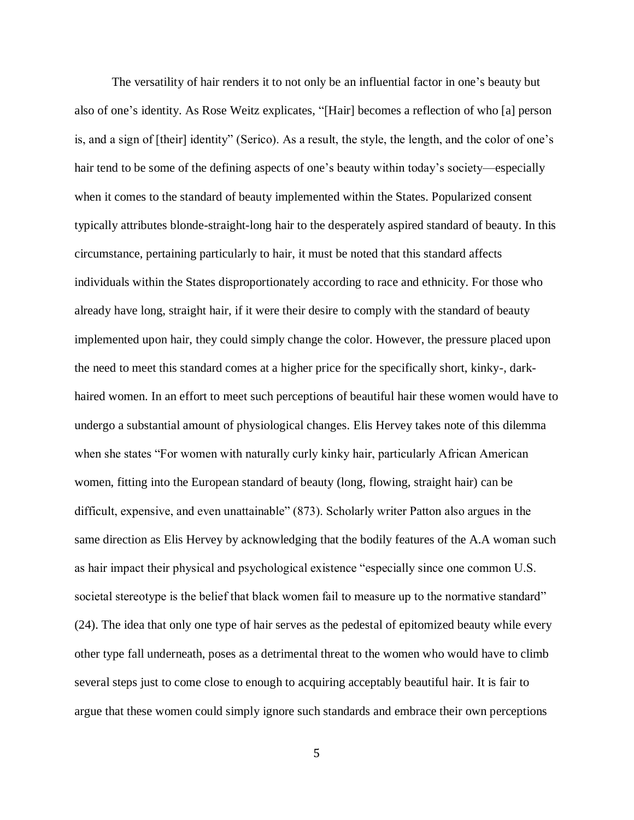The versatility of hair renders it to not only be an influential factor in one's beauty but also of one's identity. As Rose Weitz explicates, "[Hair] becomes a reflection of who [a] person is, and a sign of [their] identity" (Serico). As a result, the style, the length, and the color of one's hair tend to be some of the defining aspects of one's beauty within today's society—especially when it comes to the standard of beauty implemented within the States. Popularized consent typically attributes blonde-straight-long hair to the desperately aspired standard of beauty. In this circumstance, pertaining particularly to hair, it must be noted that this standard affects individuals within the States disproportionately according to race and ethnicity. For those who already have long, straight hair, if it were their desire to comply with the standard of beauty implemented upon hair, they could simply change the color. However, the pressure placed upon the need to meet this standard comes at a higher price for the specifically short, kinky-, darkhaired women. In an effort to meet such perceptions of beautiful hair these women would have to undergo a substantial amount of physiological changes. Elis Hervey takes note of this dilemma when she states "For women with naturally curly kinky hair, particularly African American women, fitting into the European standard of beauty (long, flowing, straight hair) can be difficult, expensive, and even unattainable" (873). Scholarly writer Patton also argues in the same direction as Elis Hervey by acknowledging that the bodily features of the A.A woman such as hair impact their physical and psychological existence "especially since one common U.S. societal stereotype is the belief that black women fail to measure up to the normative standard" (24). The idea that only one type of hair serves as the pedestal of epitomized beauty while every other type fall underneath, poses as a detrimental threat to the women who would have to climb several steps just to come close to enough to acquiring acceptably beautiful hair. It is fair to argue that these women could simply ignore such standards and embrace their own perceptions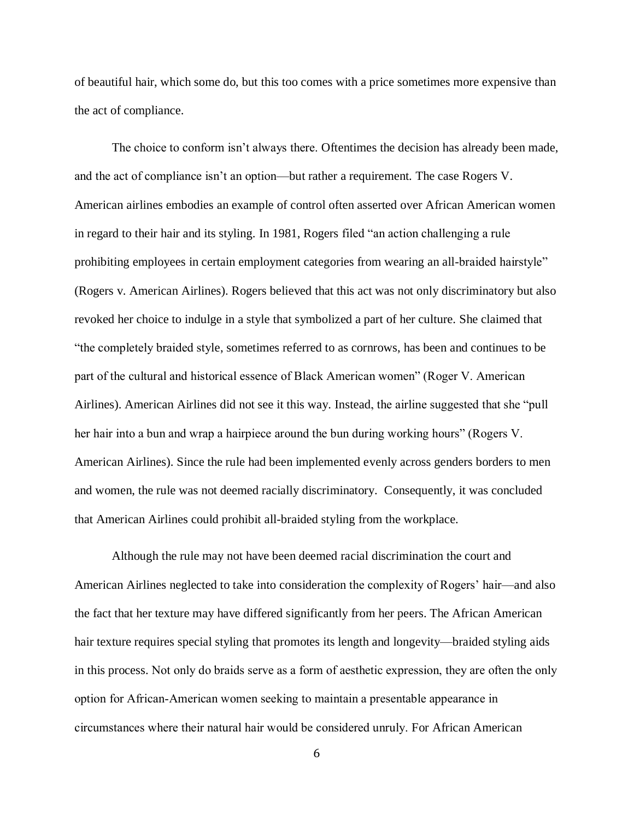of beautiful hair, which some do, but this too comes with a price sometimes more expensive than the act of compliance.

The choice to conform isn't always there. Oftentimes the decision has already been made, and the act of compliance isn't an option—but rather a requirement. The case Rogers V. American airlines embodies an example of control often asserted over African American women in regard to their hair and its styling. In 1981, Rogers filed "an action challenging a rule prohibiting employees in certain employment categories from wearing an all-braided hairstyle" (Rogers v. American Airlines). Rogers believed that this act was not only discriminatory but also revoked her choice to indulge in a style that symbolized a part of her culture. She claimed that "the completely braided style, sometimes referred to as cornrows, has been and continues to be part of the cultural and historical essence of Black American women" (Roger V. American Airlines). American Airlines did not see it this way. Instead, the airline suggested that she "pull her hair into a bun and wrap a hairpiece around the bun during working hours" (Rogers V. American Airlines). Since the rule had been implemented evenly across genders borders to men and women, the rule was not deemed racially discriminatory. Consequently, it was concluded that American Airlines could prohibit all-braided styling from the workplace.

Although the rule may not have been deemed racial discrimination the court and American Airlines neglected to take into consideration the complexity of Rogers' hair—and also the fact that her texture may have differed significantly from her peers. The African American hair texture requires special styling that promotes its length and longevity—braided styling aids in this process. Not only do braids serve as a form of aesthetic expression, they are often the only option for African-American women seeking to maintain a presentable appearance in circumstances where their natural hair would be considered unruly. For African American

6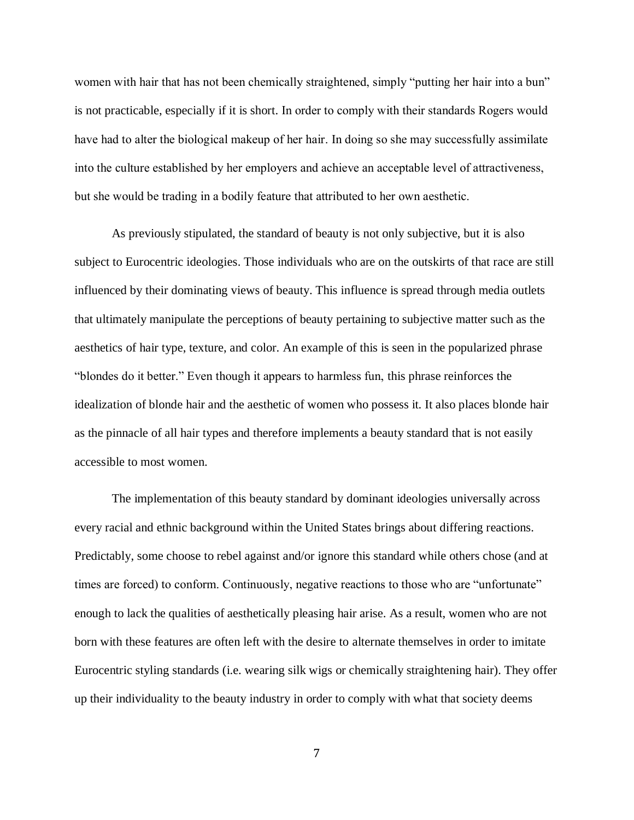women with hair that has not been chemically straightened, simply "putting her hair into a bun" is not practicable, especially if it is short. In order to comply with their standards Rogers would have had to alter the biological makeup of her hair. In doing so she may successfully assimilate into the culture established by her employers and achieve an acceptable level of attractiveness, but she would be trading in a bodily feature that attributed to her own aesthetic.

As previously stipulated, the standard of beauty is not only subjective, but it is also subject to Eurocentric ideologies. Those individuals who are on the outskirts of that race are still influenced by their dominating views of beauty. This influence is spread through media outlets that ultimately manipulate the perceptions of beauty pertaining to subjective matter such as the aesthetics of hair type, texture, and color. An example of this is seen in the popularized phrase "blondes do it better." Even though it appears to harmless fun, this phrase reinforces the idealization of blonde hair and the aesthetic of women who possess it. It also places blonde hair as the pinnacle of all hair types and therefore implements a beauty standard that is not easily accessible to most women.

The implementation of this beauty standard by dominant ideologies universally across every racial and ethnic background within the United States brings about differing reactions. Predictably, some choose to rebel against and/or ignore this standard while others chose (and at times are forced) to conform. Continuously, negative reactions to those who are "unfortunate" enough to lack the qualities of aesthetically pleasing hair arise. As a result, women who are not born with these features are often left with the desire to alternate themselves in order to imitate Eurocentric styling standards (i.e. wearing silk wigs or chemically straightening hair). They offer up their individuality to the beauty industry in order to comply with what that society deems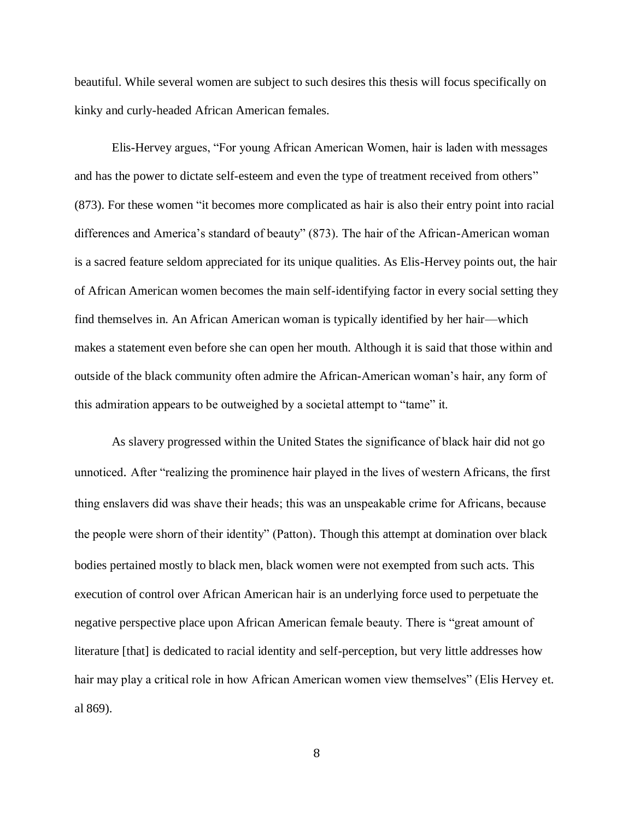beautiful. While several women are subject to such desires this thesis will focus specifically on kinky and curly-headed African American females.

Elis-Hervey argues, "For young African American Women, hair is laden with messages and has the power to dictate self-esteem and even the type of treatment received from others" (873). For these women "it becomes more complicated as hair is also their entry point into racial differences and America's standard of beauty" (873). The hair of the African-American woman is a sacred feature seldom appreciated for its unique qualities. As Elis-Hervey points out, the hair of African American women becomes the main self-identifying factor in every social setting they find themselves in. An African American woman is typically identified by her hair—which makes a statement even before she can open her mouth. Although it is said that those within and outside of the black community often admire the African-American woman's hair, any form of this admiration appears to be outweighed by a societal attempt to "tame" it.

As slavery progressed within the United States the significance of black hair did not go unnoticed. After "realizing the prominence hair played in the lives of western Africans, the first thing enslavers did was shave their heads; this was an unspeakable crime for Africans, because the people were shorn of their identity" (Patton). Though this attempt at domination over black bodies pertained mostly to black men, black women were not exempted from such acts. This execution of control over African American hair is an underlying force used to perpetuate the negative perspective place upon African American female beauty. There is "great amount of literature [that] is dedicated to racial identity and self-perception, but very little addresses how hair may play a critical role in how African American women view themselves" (Elis Hervey et. al 869).

8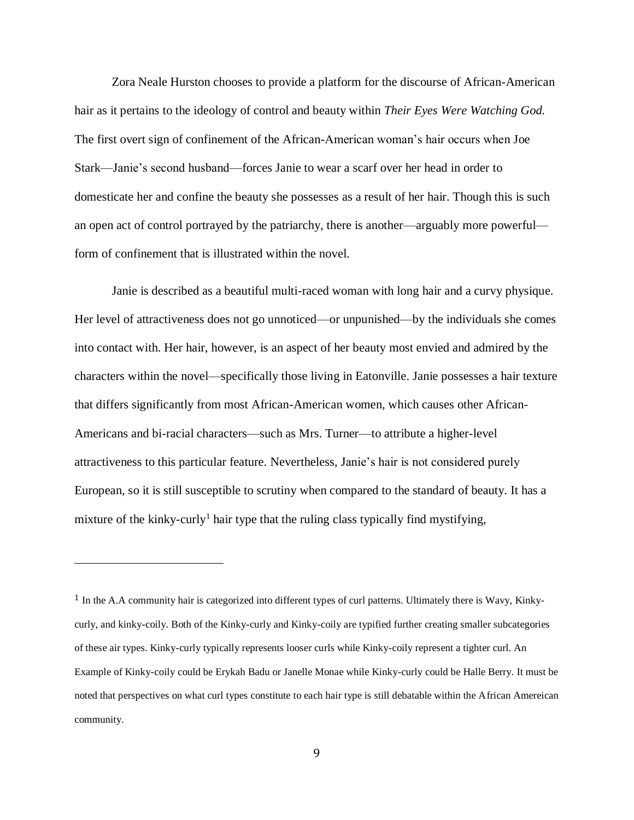Zora Neale Hurston chooses to provide a platform for the discourse of African-American hair as it pertains to the ideology of control and beauty within *Their Eyes Were Watching God.*  The first overt sign of confinement of the African-American woman's hair occurs when Joe Stark—Janie's second husband—forces Janie to wear a scarf over her head in order to domesticate her and confine the beauty she possesses as a result of her hair. Though this is such an open act of control portrayed by the patriarchy, there is another—arguably more powerful form of confinement that is illustrated within the novel.

Janie is described as a beautiful multi-raced woman with long hair and a curvy physique. Her level of attractiveness does not go unnoticed—or unpunished—by the individuals she comes into contact with. Her hair, however, is an aspect of her beauty most envied and admired by the characters within the novel—specifically those living in Eatonville. Janie possesses a hair texture that differs significantly from most African-American women, which causes other African-Americans and bi-racial characters—such as Mrs. Turner—to attribute a higher-level attractiveness to this particular feature. Nevertheless, Janie's hair is not considered purely European, so it is still susceptible to scrutiny when compared to the standard of beauty. It has a mixture of the kinky-curly<sup>1</sup> hair type that the ruling class typically find mystifying,

 $\overline{a}$ 

<sup>1</sup> In the A.A community hair is categorized into different types of curl patterns. Ultimately there is Wavy, Kinkycurly, and kinky-coily. Both of the Kinky-curly and Kinky-coily are typified further creating smaller subcategories of these air types. Kinky-curly typically represents looser curls while Kinky-coily represent a tighter curl. An Example of Kinky-coily could be Erykah Badu or Janelle Monae while Kinky-curly could be Halle Berry. It must be noted that perspectives on what curl types constitute to each hair type is still debatable within the African Amereican community.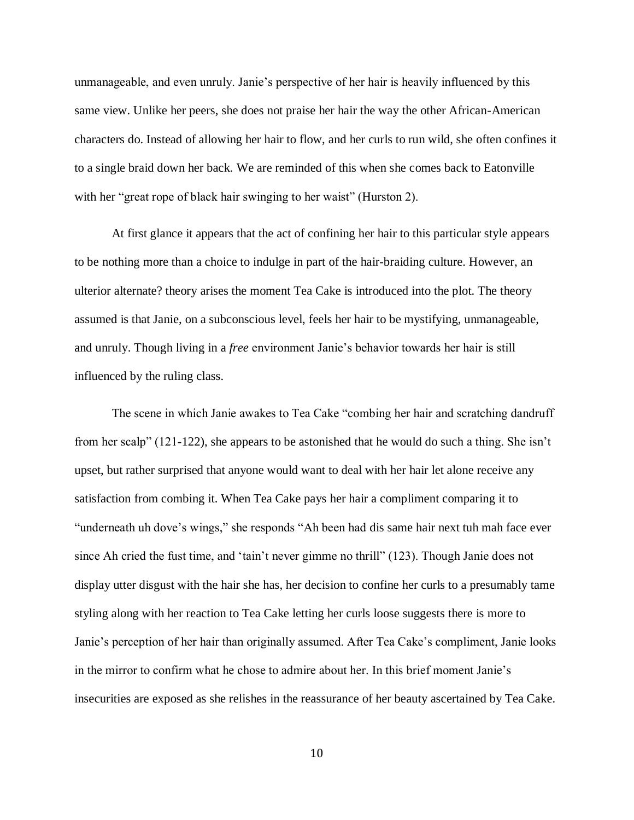unmanageable, and even unruly. Janie's perspective of her hair is heavily influenced by this same view. Unlike her peers, she does not praise her hair the way the other African-American characters do. Instead of allowing her hair to flow, and her curls to run wild, she often confines it to a single braid down her back. We are reminded of this when she comes back to Eatonville with her "great rope of black hair swinging to her waist" (Hurston 2).

At first glance it appears that the act of confining her hair to this particular style appears to be nothing more than a choice to indulge in part of the hair-braiding culture. However, an ulterior alternate? theory arises the moment Tea Cake is introduced into the plot. The theory assumed is that Janie, on a subconscious level, feels her hair to be mystifying, unmanageable, and unruly. Though living in a *free* environment Janie's behavior towards her hair is still influenced by the ruling class.

The scene in which Janie awakes to Tea Cake "combing her hair and scratching dandruff from her scalp" (121-122), she appears to be astonished that he would do such a thing. She isn't upset, but rather surprised that anyone would want to deal with her hair let alone receive any satisfaction from combing it. When Tea Cake pays her hair a compliment comparing it to "underneath uh dove's wings," she responds "Ah been had dis same hair next tuh mah face ever since Ah cried the fust time, and 'tain't never gimme no thrill" (123). Though Janie does not display utter disgust with the hair she has, her decision to confine her curls to a presumably tame styling along with her reaction to Tea Cake letting her curls loose suggests there is more to Janie's perception of her hair than originally assumed. After Tea Cake's compliment, Janie looks in the mirror to confirm what he chose to admire about her. In this brief moment Janie's insecurities are exposed as she relishes in the reassurance of her beauty ascertained by Tea Cake.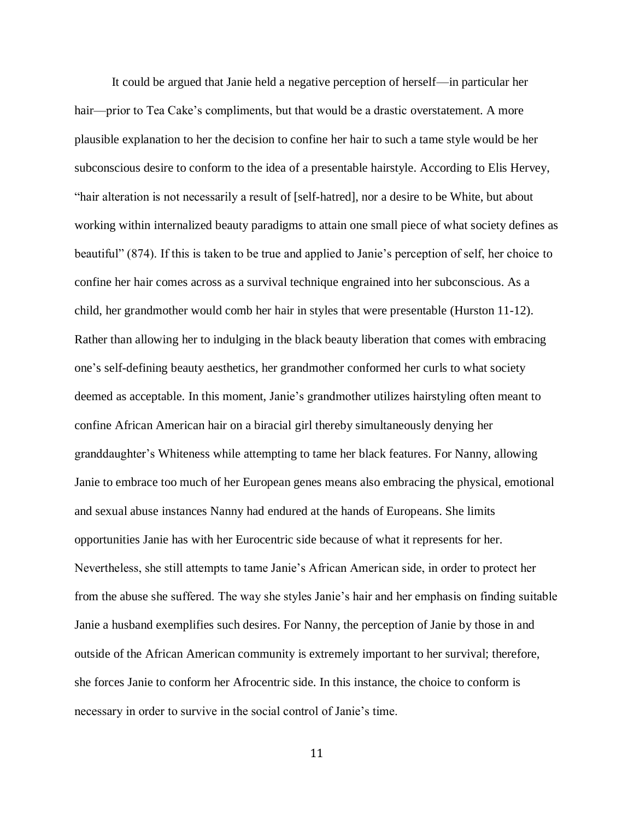It could be argued that Janie held a negative perception of herself—in particular her hair—prior to Tea Cake's compliments, but that would be a drastic overstatement. A more plausible explanation to her the decision to confine her hair to such a tame style would be her subconscious desire to conform to the idea of a presentable hairstyle. According to Elis Hervey, "hair alteration is not necessarily a result of [self-hatred], nor a desire to be White, but about working within internalized beauty paradigms to attain one small piece of what society defines as beautiful" (874). If this is taken to be true and applied to Janie's perception of self, her choice to confine her hair comes across as a survival technique engrained into her subconscious. As a child, her grandmother would comb her hair in styles that were presentable (Hurston 11-12). Rather than allowing her to indulging in the black beauty liberation that comes with embracing one's self-defining beauty aesthetics, her grandmother conformed her curls to what society deemed as acceptable. In this moment, Janie's grandmother utilizes hairstyling often meant to confine African American hair on a biracial girl thereby simultaneously denying her granddaughter's Whiteness while attempting to tame her black features. For Nanny, allowing Janie to embrace too much of her European genes means also embracing the physical, emotional and sexual abuse instances Nanny had endured at the hands of Europeans. She limits opportunities Janie has with her Eurocentric side because of what it represents for her. Nevertheless, she still attempts to tame Janie's African American side, in order to protect her from the abuse she suffered. The way she styles Janie's hair and her emphasis on finding suitable Janie a husband exemplifies such desires. For Nanny, the perception of Janie by those in and outside of the African American community is extremely important to her survival; therefore, she forces Janie to conform her Afrocentric side. In this instance, the choice to conform is necessary in order to survive in the social control of Janie's time.

11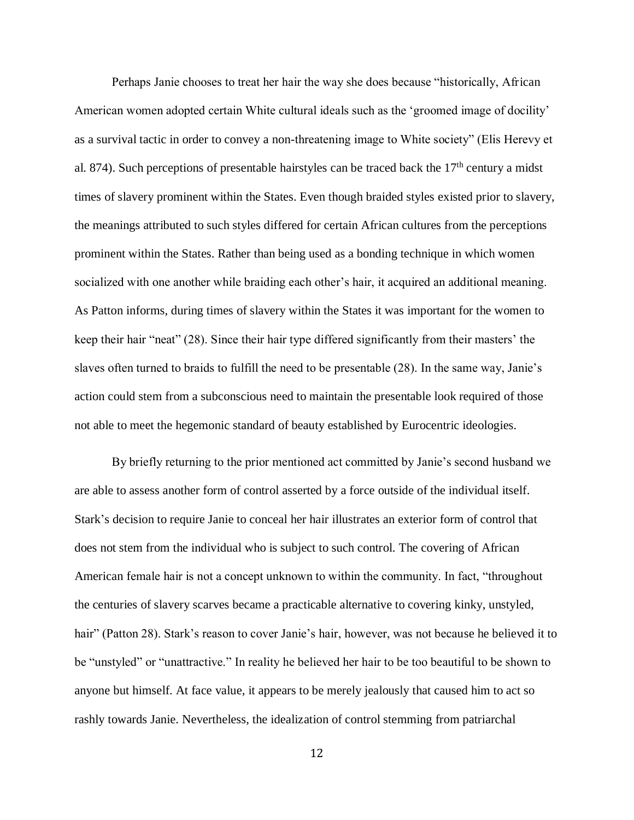Perhaps Janie chooses to treat her hair the way she does because "historically, African American women adopted certain White cultural ideals such as the 'groomed image of docility' as a survival tactic in order to convey a non-threatening image to White society" (Elis Herevy et al. 874). Such perceptions of presentable hairstyles can be traced back the  $17<sup>th</sup>$  century a midst times of slavery prominent within the States. Even though braided styles existed prior to slavery, the meanings attributed to such styles differed for certain African cultures from the perceptions prominent within the States. Rather than being used as a bonding technique in which women socialized with one another while braiding each other's hair, it acquired an additional meaning. As Patton informs, during times of slavery within the States it was important for the women to keep their hair "neat" (28). Since their hair type differed significantly from their masters' the slaves often turned to braids to fulfill the need to be presentable (28). In the same way, Janie's action could stem from a subconscious need to maintain the presentable look required of those not able to meet the hegemonic standard of beauty established by Eurocentric ideologies.

By briefly returning to the prior mentioned act committed by Janie's second husband we are able to assess another form of control asserted by a force outside of the individual itself. Stark's decision to require Janie to conceal her hair illustrates an exterior form of control that does not stem from the individual who is subject to such control. The covering of African American female hair is not a concept unknown to within the community. In fact, "throughout the centuries of slavery scarves became a practicable alternative to covering kinky, unstyled, hair" (Patton 28). Stark's reason to cover Janie's hair, however, was not because he believed it to be "unstyled" or "unattractive." In reality he believed her hair to be too beautiful to be shown to anyone but himself. At face value, it appears to be merely jealously that caused him to act so rashly towards Janie. Nevertheless, the idealization of control stemming from patriarchal

12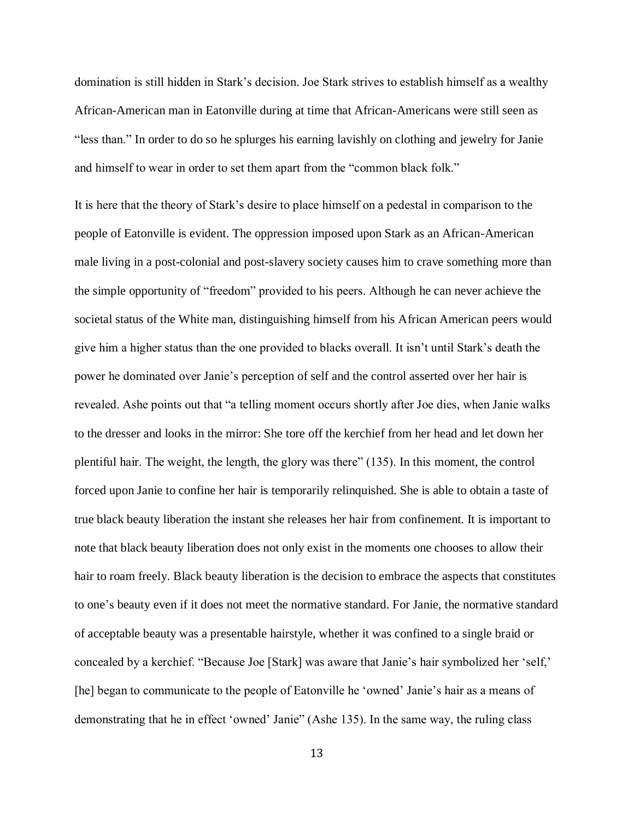domination is still hidden in Stark's decision. Joe Stark strives to establish himself as a wealthy African-American man in Eatonville during at time that African-Americans were still seen as "less than." In order to do so he splurges his earning lavishly on clothing and jewelry for Janie and himself to wear in order to set them apart from the "common black folk."

It is here that the theory of Stark's desire to place himself on a pedestal in comparison to the people of Eatonville is evident. The oppression imposed upon Stark as an African-American male living in a post-colonial and post-slavery society causes him to crave something more than the simple opportunity of "freedom" provided to his peers. Although he can never achieve the societal status of the White man, distinguishing himself from his African American peers would give him a higher status than the one provided to blacks overall. It isn't until Stark's death the power he dominated over Janie's perception of self and the control asserted over her hair is revealed. Ashe points out that "a telling moment occurs shortly after Joe dies, when Janie walks to the dresser and looks in the mirror: She tore off the kerchief from her head and let down her plentiful hair. The weight, the length, the glory was there" (135). In this moment, the control forced upon Janie to confine her hair is temporarily relinquished. She is able to obtain a taste of true black beauty liberation the instant she releases her hair from confinement. It is important to note that black beauty liberation does not only exist in the moments one chooses to allow their hair to roam freely. Black beauty liberation is the decision to embrace the aspects that constitutes to one's beauty even if it does not meet the normative standard. For Janie, the normative standard of acceptable beauty was a presentable hairstyle, whether it was confined to a single braid or concealed by a kerchief. "Because Joe [Stark] was aware that Janie's hair symbolized her 'self,' [he] began to communicate to the people of Eatonville he 'owned' Janie's hair as a means of demonstrating that he in effect 'owned' Janie" (Ashe 135). In the same way, the ruling class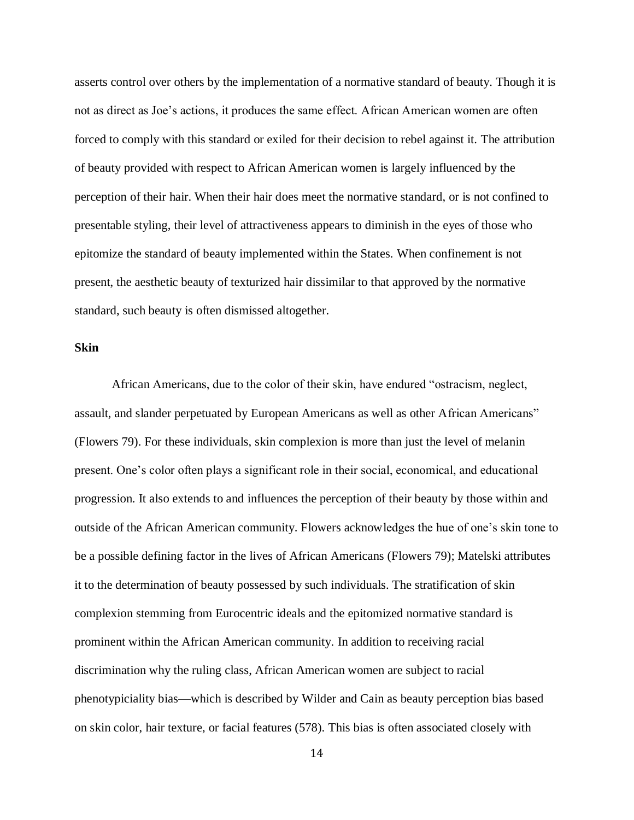asserts control over others by the implementation of a normative standard of beauty. Though it is not as direct as Joe's actions, it produces the same effect. African American women are often forced to comply with this standard or exiled for their decision to rebel against it. The attribution of beauty provided with respect to African American women is largely influenced by the perception of their hair. When their hair does meet the normative standard, or is not confined to presentable styling, their level of attractiveness appears to diminish in the eyes of those who epitomize the standard of beauty implemented within the States. When confinement is not present, the aesthetic beauty of texturized hair dissimilar to that approved by the normative standard, such beauty is often dismissed altogether.

#### **Skin**

African Americans, due to the color of their skin, have endured "ostracism, neglect, assault, and slander perpetuated by European Americans as well as other African Americans" (Flowers 79). For these individuals, skin complexion is more than just the level of melanin present. One's color often plays a significant role in their social, economical, and educational progression. It also extends to and influences the perception of their beauty by those within and outside of the African American community. Flowers acknowledges the hue of one's skin tone to be a possible defining factor in the lives of African Americans (Flowers 79); Matelski attributes it to the determination of beauty possessed by such individuals. The stratification of skin complexion stemming from Eurocentric ideals and the epitomized normative standard is prominent within the African American community. In addition to receiving racial discrimination why the ruling class, African American women are subject to racial phenotypiciality bias—which is described by Wilder and Cain as beauty perception bias based on skin color, hair texture, or facial features (578). This bias is often associated closely with

14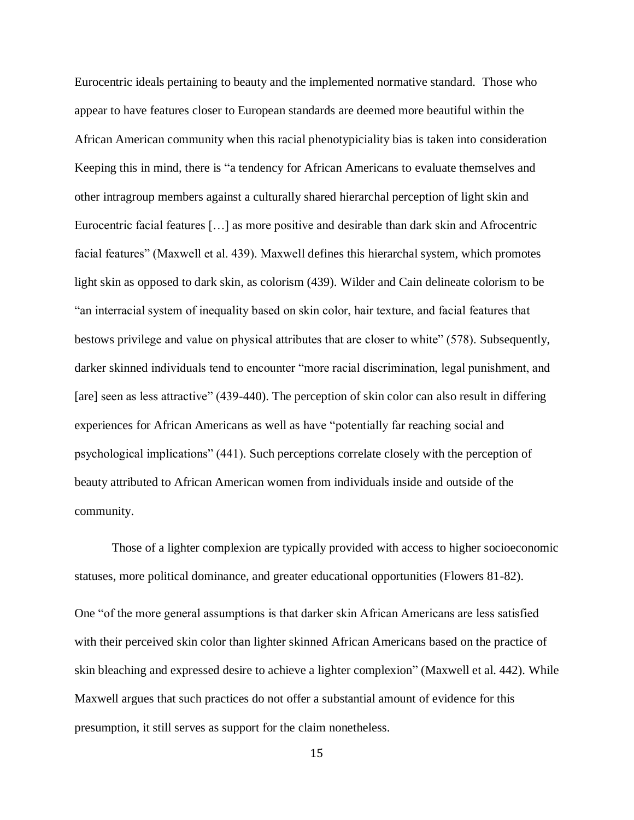Eurocentric ideals pertaining to beauty and the implemented normative standard. Those who appear to have features closer to European standards are deemed more beautiful within the African American community when this racial phenotypiciality bias is taken into consideration Keeping this in mind, there is "a tendency for African Americans to evaluate themselves and other intragroup members against a culturally shared hierarchal perception of light skin and Eurocentric facial features […] as more positive and desirable than dark skin and Afrocentric facial features" (Maxwell et al. 439). Maxwell defines this hierarchal system, which promotes light skin as opposed to dark skin, as colorism (439). Wilder and Cain delineate colorism to be "an interracial system of inequality based on skin color, hair texture, and facial features that bestows privilege and value on physical attributes that are closer to white" (578). Subsequently, darker skinned individuals tend to encounter "more racial discrimination, legal punishment, and [are] seen as less attractive" (439-440). The perception of skin color can also result in differing experiences for African Americans as well as have "potentially far reaching social and psychological implications" (441). Such perceptions correlate closely with the perception of beauty attributed to African American women from individuals inside and outside of the community.

Those of a lighter complexion are typically provided with access to higher socioeconomic statuses, more political dominance, and greater educational opportunities (Flowers 81-82). One "of the more general assumptions is that darker skin African Americans are less satisfied with their perceived skin color than lighter skinned African Americans based on the practice of skin bleaching and expressed desire to achieve a lighter complexion" (Maxwell et al. 442). While Maxwell argues that such practices do not offer a substantial amount of evidence for this presumption, it still serves as support for the claim nonetheless.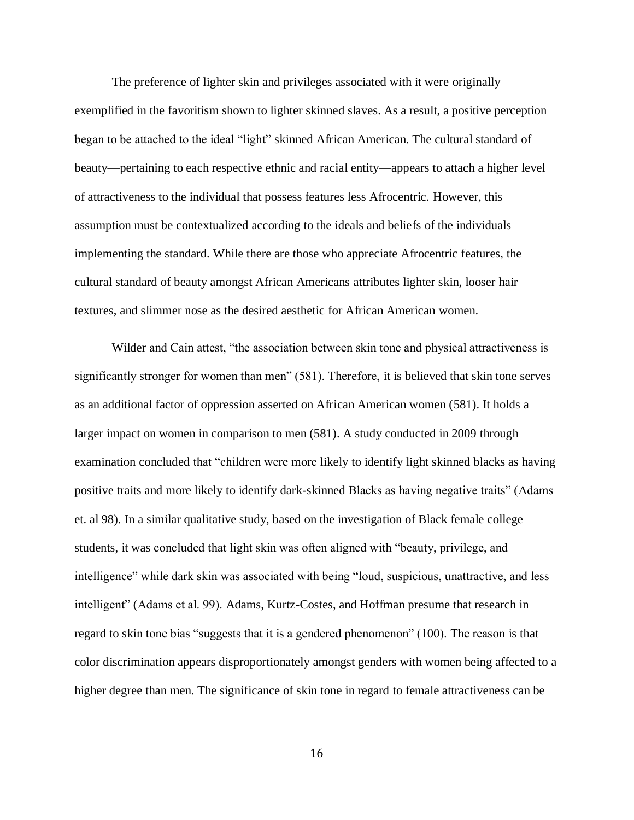The preference of lighter skin and privileges associated with it were originally exemplified in the favoritism shown to lighter skinned slaves. As a result, a positive perception began to be attached to the ideal "light" skinned African American. The cultural standard of beauty—pertaining to each respective ethnic and racial entity—appears to attach a higher level of attractiveness to the individual that possess features less Afrocentric. However, this assumption must be contextualized according to the ideals and beliefs of the individuals implementing the standard. While there are those who appreciate Afrocentric features, the cultural standard of beauty amongst African Americans attributes lighter skin, looser hair textures, and slimmer nose as the desired aesthetic for African American women.

Wilder and Cain attest, "the association between skin tone and physical attractiveness is significantly stronger for women than men" (581). Therefore, it is believed that skin tone serves as an additional factor of oppression asserted on African American women (581). It holds a larger impact on women in comparison to men (581). A study conducted in 2009 through examination concluded that "children were more likely to identify light skinned blacks as having positive traits and more likely to identify dark-skinned Blacks as having negative traits" (Adams et. al 98). In a similar qualitative study, based on the investigation of Black female college students, it was concluded that light skin was often aligned with "beauty, privilege, and intelligence" while dark skin was associated with being "loud, suspicious, unattractive, and less intelligent" (Adams et al. 99). Adams, Kurtz-Costes, and Hoffman presume that research in regard to skin tone bias "suggests that it is a gendered phenomenon" (100). The reason is that color discrimination appears disproportionately amongst genders with women being affected to a higher degree than men. The significance of skin tone in regard to female attractiveness can be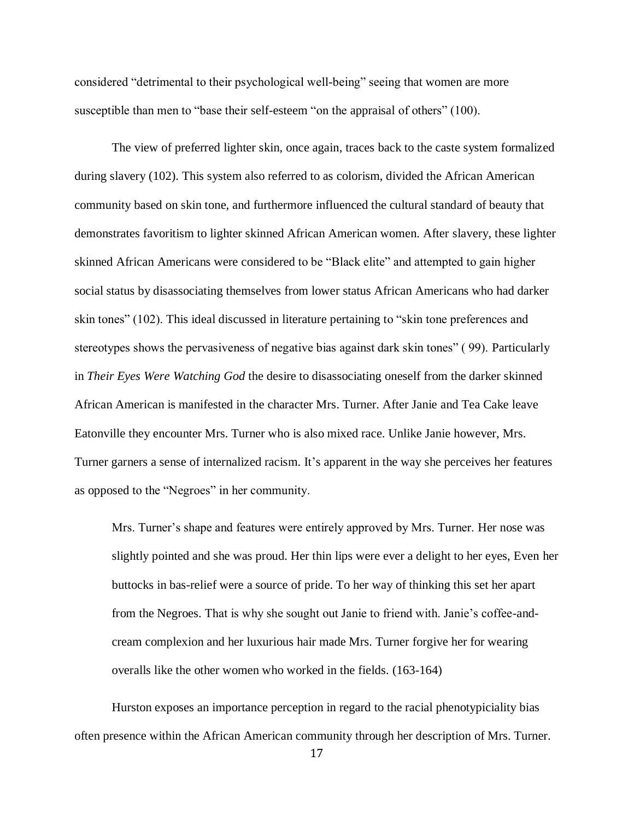considered "detrimental to their psychological well-being" seeing that women are more susceptible than men to "base their self-esteem "on the appraisal of others" (100).

The view of preferred lighter skin, once again, traces back to the caste system formalized during slavery (102). This system also referred to as colorism, divided the African American community based on skin tone, and furthermore influenced the cultural standard of beauty that demonstrates favoritism to lighter skinned African American women. After slavery, these lighter skinned African Americans were considered to be "Black elite" and attempted to gain higher social status by disassociating themselves from lower status African Americans who had darker skin tones" (102). This ideal discussed in literature pertaining to "skin tone preferences and stereotypes shows the pervasiveness of negative bias against dark skin tones" ( 99). Particularly in *Their Eyes Were Watching God* the desire to disassociating oneself from the darker skinned African American is manifested in the character Mrs. Turner. After Janie and Tea Cake leave Eatonville they encounter Mrs. Turner who is also mixed race. Unlike Janie however, Mrs. Turner garners a sense of internalized racism. It's apparent in the way she perceives her features as opposed to the "Negroes" in her community.

Mrs. Turner's shape and features were entirely approved by Mrs. Turner. Her nose was slightly pointed and she was proud. Her thin lips were ever a delight to her eyes, Even her buttocks in bas-relief were a source of pride. To her way of thinking this set her apart from the Negroes. That is why she sought out Janie to friend with. Janie's coffee-andcream complexion and her luxurious hair made Mrs. Turner forgive her for wearing overalls like the other women who worked in the fields. (163-164)

Hurston exposes an importance perception in regard to the racial phenotypiciality bias often presence within the African American community through her description of Mrs. Turner.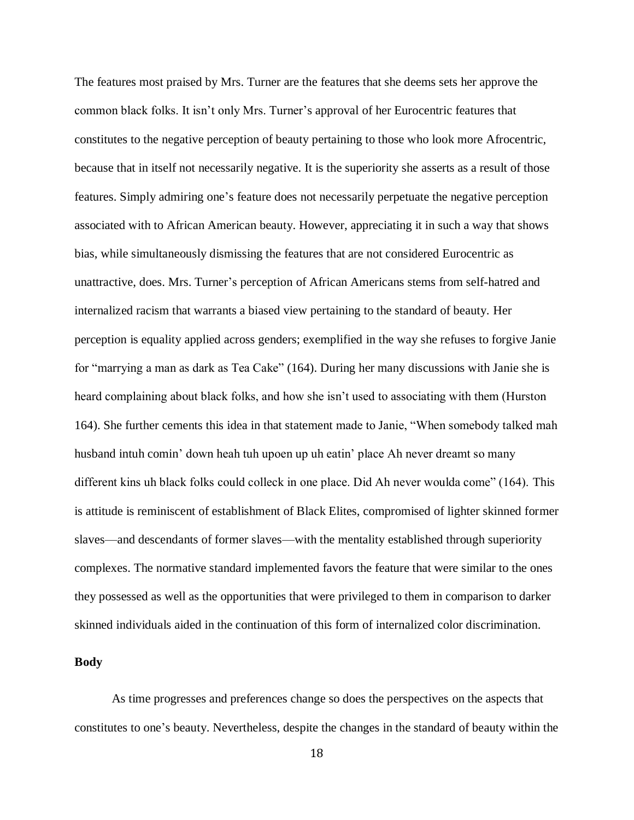The features most praised by Mrs. Turner are the features that she deems sets her approve the common black folks. It isn't only Mrs. Turner's approval of her Eurocentric features that constitutes to the negative perception of beauty pertaining to those who look more Afrocentric, because that in itself not necessarily negative. It is the superiority she asserts as a result of those features. Simply admiring one's feature does not necessarily perpetuate the negative perception associated with to African American beauty. However, appreciating it in such a way that shows bias, while simultaneously dismissing the features that are not considered Eurocentric as unattractive, does. Mrs. Turner's perception of African Americans stems from self-hatred and internalized racism that warrants a biased view pertaining to the standard of beauty. Her perception is equality applied across genders; exemplified in the way she refuses to forgive Janie for "marrying a man as dark as Tea Cake" (164). During her many discussions with Janie she is heard complaining about black folks, and how she isn't used to associating with them (Hurston 164). She further cements this idea in that statement made to Janie, "When somebody talked mah husband intuh comin' down heah tuh upoen up uh eatin' place Ah never dreamt so many different kins uh black folks could colleck in one place. Did Ah never woulda come" (164). This is attitude is reminiscent of establishment of Black Elites, compromised of lighter skinned former slaves—and descendants of former slaves—with the mentality established through superiority complexes. The normative standard implemented favors the feature that were similar to the ones they possessed as well as the opportunities that were privileged to them in comparison to darker skinned individuals aided in the continuation of this form of internalized color discrimination.

#### **Body**

As time progresses and preferences change so does the perspectives on the aspects that constitutes to one's beauty. Nevertheless, despite the changes in the standard of beauty within the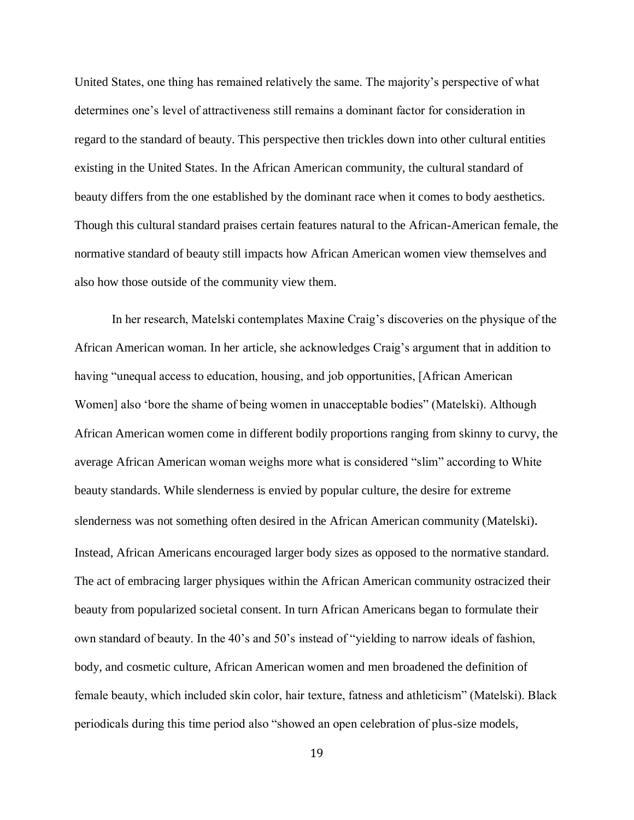United States, one thing has remained relatively the same. The majority's perspective of what determines one's level of attractiveness still remains a dominant factor for consideration in regard to the standard of beauty. This perspective then trickles down into other cultural entities existing in the United States. In the African American community, the cultural standard of beauty differs from the one established by the dominant race when it comes to body aesthetics. Though this cultural standard praises certain features natural to the African-American female, the normative standard of beauty still impacts how African American women view themselves and also how those outside of the community view them.

In her research, Matelski contemplates Maxine Craig's discoveries on the physique of the African American woman. In her article, she acknowledges Craig's argument that in addition to having "unequal access to education, housing, and job opportunities, [African American Women] also 'bore the shame of being women in unacceptable bodies" (Matelski). Although African American women come in different bodily proportions ranging from skinny to curvy, the average African American woman weighs more what is considered "slim" according to White beauty standards. While slenderness is envied by popular culture, the desire for extreme slenderness was not something often desired in the African American community (Matelski). Instead, African Americans encouraged larger body sizes as opposed to the normative standard. The act of embracing larger physiques within the African American community ostracized their beauty from popularized societal consent. In turn African Americans began to formulate their own standard of beauty. In the 40's and 50's instead of "yielding to narrow ideals of fashion, body, and cosmetic culture, African American women and men broadened the definition of female beauty, which included skin color, hair texture, fatness and athleticism" (Matelski). Black periodicals during this time period also "showed an open celebration of plus-size models,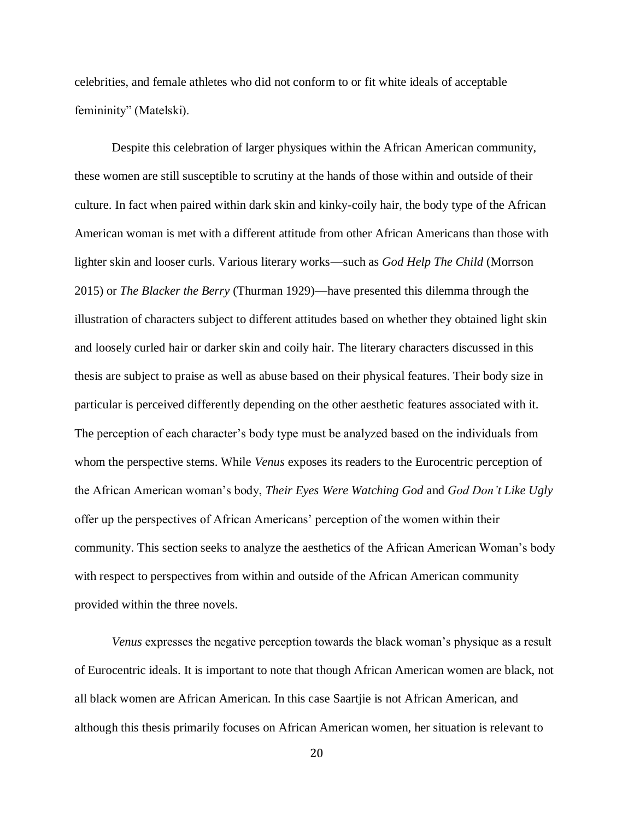celebrities, and female athletes who did not conform to or fit white ideals of acceptable femininity" (Matelski).

Despite this celebration of larger physiques within the African American community, these women are still susceptible to scrutiny at the hands of those within and outside of their culture. In fact when paired within dark skin and kinky-coily hair, the body type of the African American woman is met with a different attitude from other African Americans than those with lighter skin and looser curls. Various literary works—such as *God Help The Child* (Morrson 2015) or *The Blacker the Berry* (Thurman 1929)—have presented this dilemma through the illustration of characters subject to different attitudes based on whether they obtained light skin and loosely curled hair or darker skin and coily hair. The literary characters discussed in this thesis are subject to praise as well as abuse based on their physical features. Their body size in particular is perceived differently depending on the other aesthetic features associated with it. The perception of each character's body type must be analyzed based on the individuals from whom the perspective stems. While *Venus* exposes its readers to the Eurocentric perception of the African American woman's body, *Their Eyes Were Watching God* and *God Don't Like Ugly*  offer up the perspectives of African Americans' perception of the women within their community. This section seeks to analyze the aesthetics of the African American Woman's body with respect to perspectives from within and outside of the African American community provided within the three novels.

*Venus* expresses the negative perception towards the black woman's physique as a result of Eurocentric ideals. It is important to note that though African American women are black, not all black women are African American. In this case Saartjie is not African American, and although this thesis primarily focuses on African American women, her situation is relevant to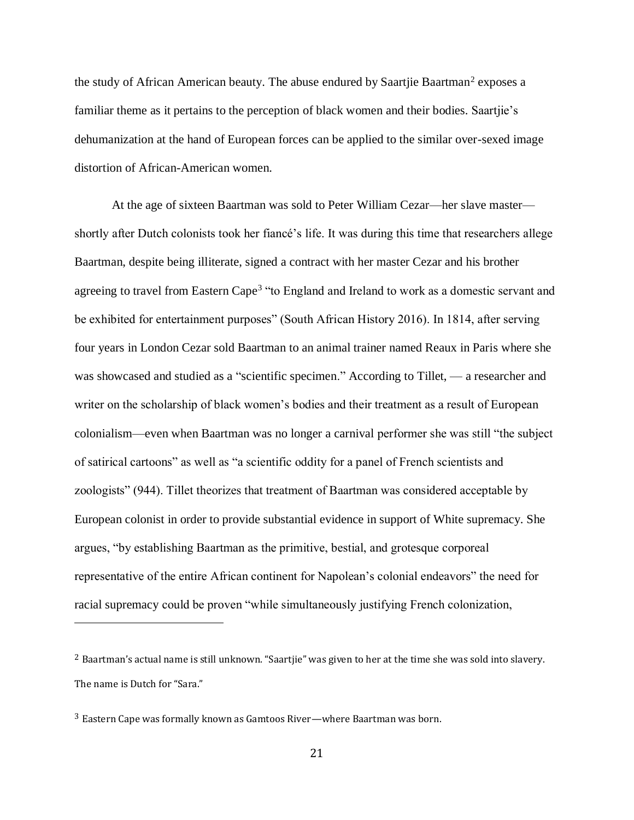the study of African American beauty. The abuse endured by Saartjie Baartman<sup>2</sup> exposes a familiar theme as it pertains to the perception of black women and their bodies. Saartjie's dehumanization at the hand of European forces can be applied to the similar over-sexed image distortion of African-American women.

At the age of sixteen Baartman was sold to Peter William Cezar—her slave master shortly after Dutch colonists took her fiancé's life. It was during this time that researchers allege Baartman, despite being illiterate, signed a contract with her master Cezar and his brother agreeing to travel from Eastern Cape<sup>3</sup> "to England and Ireland to work as a domestic servant and be exhibited for entertainment purposes" (South African History 2016). In 1814, after serving four years in London Cezar sold Baartman to an animal trainer named Reaux in Paris where she was showcased and studied as a "scientific specimen." According to Tillet, — a researcher and writer on the scholarship of black women's bodies and their treatment as a result of European colonialism—even when Baartman was no longer a carnival performer she was still "the subject of satirical cartoons" as well as "a scientific oddity for a panel of French scientists and zoologists" (944). Tillet theorizes that treatment of Baartman was considered acceptable by European colonist in order to provide substantial evidence in support of White supremacy. She argues, "by establishing Baartman as the primitive, bestial, and grotesque corporeal representative of the entire African continent for Napolean's colonial endeavors" the need for racial supremacy could be proven "while simultaneously justifying French colonization,

 $\overline{a}$ 

<sup>2</sup> Baartman's actual name is still unknown. "Saartjie" was given to her at the time she was sold into slavery. The name is Dutch for "Sara."

<sup>3</sup> Eastern Cape was formally known as Gamtoos River—where Baartman was born.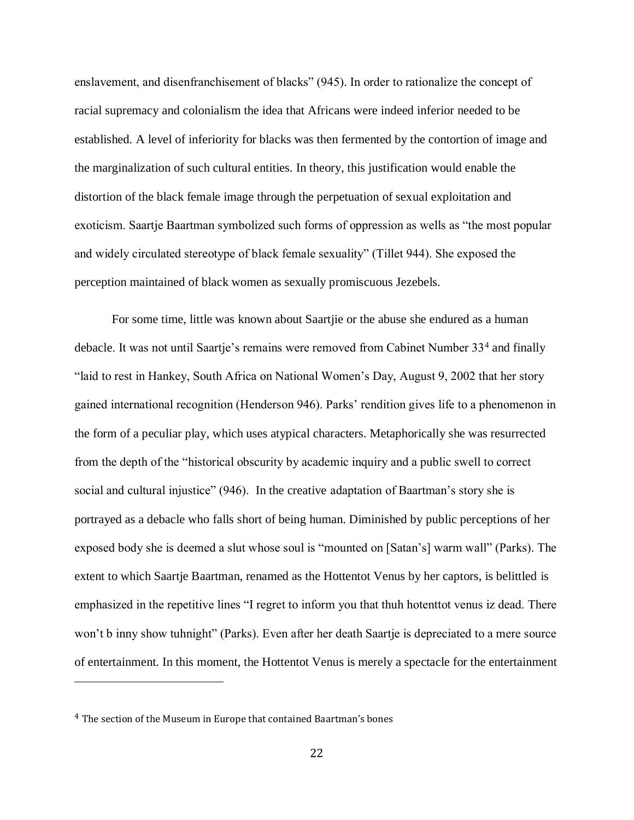enslavement, and disenfranchisement of blacks" (945). In order to rationalize the concept of racial supremacy and colonialism the idea that Africans were indeed inferior needed to be established. A level of inferiority for blacks was then fermented by the contortion of image and the marginalization of such cultural entities. In theory, this justification would enable the distortion of the black female image through the perpetuation of sexual exploitation and exoticism. Saartje Baartman symbolized such forms of oppression as wells as "the most popular and widely circulated stereotype of black female sexuality" (Tillet 944). She exposed the perception maintained of black women as sexually promiscuous Jezebels.

For some time, little was known about Saartjie or the abuse she endured as a human debacle. It was not until Saartje's remains were removed from Cabinet Number 33<sup>4</sup> and finally "laid to rest in Hankey, South Africa on National Women's Day, August 9, 2002 that her story gained international recognition (Henderson 946). Parks' rendition gives life to a phenomenon in the form of a peculiar play, which uses atypical characters. Metaphorically she was resurrected from the depth of the "historical obscurity by academic inquiry and a public swell to correct social and cultural injustice" (946). In the creative adaptation of Baartman's story she is portrayed as a debacle who falls short of being human. Diminished by public perceptions of her exposed body she is deemed a slut whose soul is "mounted on [Satan's] warm wall" (Parks). The extent to which Saartje Baartman, renamed as the Hottentot Venus by her captors, is belittled is emphasized in the repetitive lines "I regret to inform you that thuh hotenttot venus iz dead. There won't b inny show tuhnight" (Parks). Even after her death Saartje is depreciated to a mere source of entertainment. In this moment, the Hottentot Venus is merely a spectacle for the entertainment

 $\overline{\phantom{a}}$ 

<sup>4</sup> The section of the Museum in Europe that contained Baartman's bones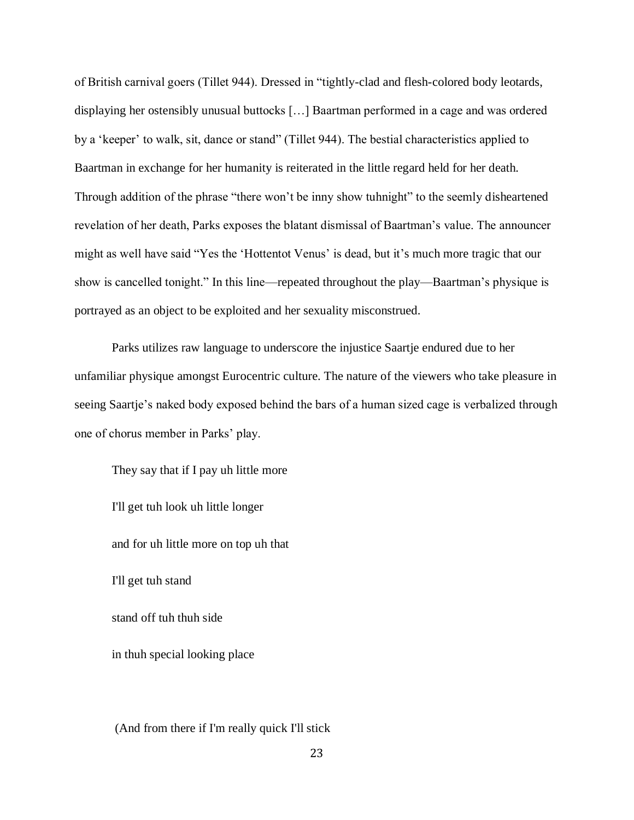of British carnival goers (Tillet 944). Dressed in "tightly-clad and flesh-colored body leotards, displaying her ostensibly unusual buttocks […] Baartman performed in a cage and was ordered by a 'keeper' to walk, sit, dance or stand" (Tillet 944). The bestial characteristics applied to Baartman in exchange for her humanity is reiterated in the little regard held for her death. Through addition of the phrase "there won't be inny show tuhnight" to the seemly disheartened revelation of her death, Parks exposes the blatant dismissal of Baartman's value. The announcer might as well have said "Yes the 'Hottentot Venus' is dead, but it's much more tragic that our show is cancelled tonight." In this line—repeated throughout the play—Baartman's physique is portrayed as an object to be exploited and her sexuality misconstrued.

Parks utilizes raw language to underscore the injustice Saartje endured due to her unfamiliar physique amongst Eurocentric culture. The nature of the viewers who take pleasure in seeing Saartje's naked body exposed behind the bars of a human sized cage is verbalized through one of chorus member in Parks' play.

They say that if I pay uh little more I'll get tuh look uh little longer and for uh little more on top uh that I'll get tuh stand stand off tuh thuh side in thuh special looking place

(And from there if I'm really quick I'll stick

23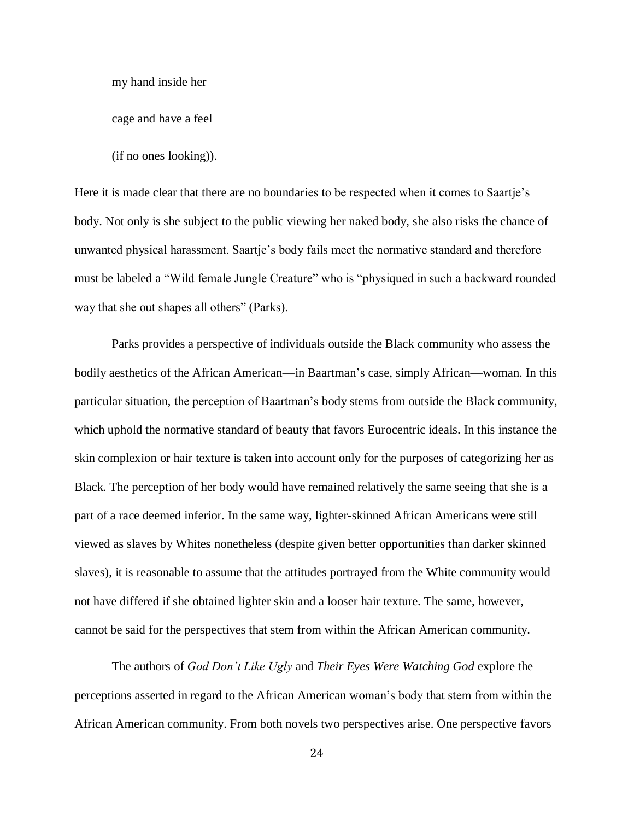my hand inside her

cage and have a feel

(if no ones looking)).

Here it is made clear that there are no boundaries to be respected when it comes to Saartje's body. Not only is she subject to the public viewing her naked body, she also risks the chance of unwanted physical harassment. Saartje's body fails meet the normative standard and therefore must be labeled a "Wild female Jungle Creature" who is "physiqued in such a backward rounded way that she out shapes all others" (Parks).

Parks provides a perspective of individuals outside the Black community who assess the bodily aesthetics of the African American—in Baartman's case, simply African—woman. In this particular situation, the perception of Baartman's body stems from outside the Black community, which uphold the normative standard of beauty that favors Eurocentric ideals. In this instance the skin complexion or hair texture is taken into account only for the purposes of categorizing her as Black. The perception of her body would have remained relatively the same seeing that she is a part of a race deemed inferior. In the same way, lighter-skinned African Americans were still viewed as slaves by Whites nonetheless (despite given better opportunities than darker skinned slaves), it is reasonable to assume that the attitudes portrayed from the White community would not have differed if she obtained lighter skin and a looser hair texture. The same, however, cannot be said for the perspectives that stem from within the African American community.

The authors of *God Don't Like Ugly* and *Their Eyes Were Watching God* explore the perceptions asserted in regard to the African American woman's body that stem from within the African American community. From both novels two perspectives arise. One perspective favors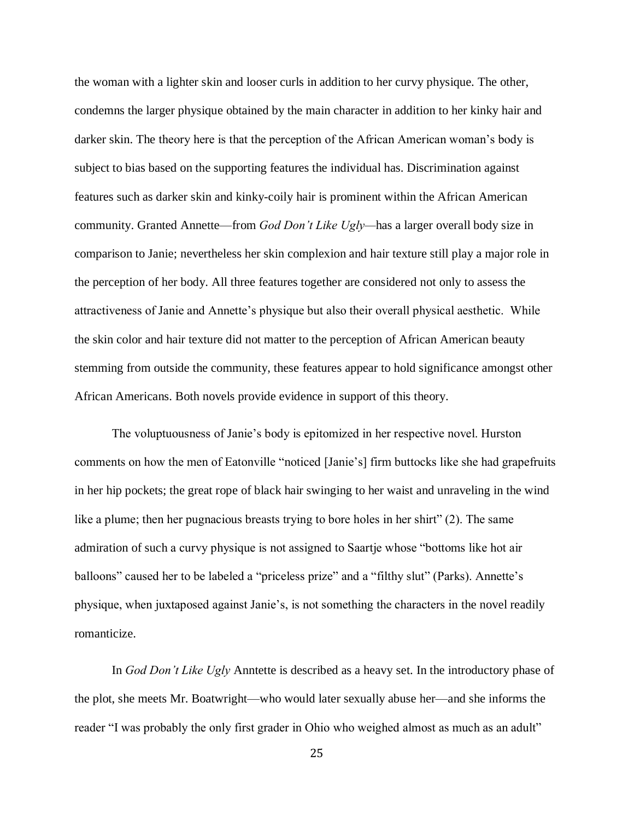the woman with a lighter skin and looser curls in addition to her curvy physique. The other, condemns the larger physique obtained by the main character in addition to her kinky hair and darker skin. The theory here is that the perception of the African American woman's body is subject to bias based on the supporting features the individual has. Discrimination against features such as darker skin and kinky-coily hair is prominent within the African American community. Granted Annette—from *God Don't Like Ugly—*has a larger overall body size in comparison to Janie; nevertheless her skin complexion and hair texture still play a major role in the perception of her body. All three features together are considered not only to assess the attractiveness of Janie and Annette's physique but also their overall physical aesthetic. While the skin color and hair texture did not matter to the perception of African American beauty stemming from outside the community, these features appear to hold significance amongst other African Americans. Both novels provide evidence in support of this theory.

The voluptuousness of Janie's body is epitomized in her respective novel. Hurston comments on how the men of Eatonville "noticed [Janie's] firm buttocks like she had grapefruits in her hip pockets; the great rope of black hair swinging to her waist and unraveling in the wind like a plume; then her pugnacious breasts trying to bore holes in her shirt" (2). The same admiration of such a curvy physique is not assigned to Saartje whose "bottoms like hot air balloons" caused her to be labeled a "priceless prize" and a "filthy slut" (Parks). Annette's physique, when juxtaposed against Janie's, is not something the characters in the novel readily romanticize.

In *God Don't Like Ugly* Anntette is described as a heavy set. In the introductory phase of the plot, she meets Mr. Boatwright—who would later sexually abuse her—and she informs the reader "I was probably the only first grader in Ohio who weighed almost as much as an adult"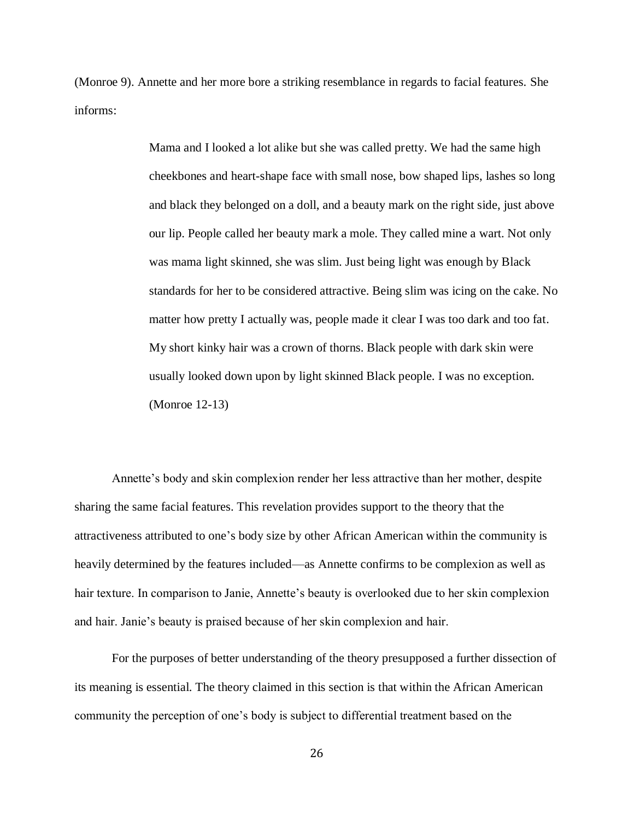(Monroe 9). Annette and her more bore a striking resemblance in regards to facial features. She informs:

> Mama and I looked a lot alike but she was called pretty. We had the same high cheekbones and heart-shape face with small nose, bow shaped lips, lashes so long and black they belonged on a doll, and a beauty mark on the right side, just above our lip. People called her beauty mark a mole. They called mine a wart. Not only was mama light skinned, she was slim. Just being light was enough by Black standards for her to be considered attractive. Being slim was icing on the cake. No matter how pretty I actually was, people made it clear I was too dark and too fat. My short kinky hair was a crown of thorns. Black people with dark skin were usually looked down upon by light skinned Black people. I was no exception. (Monroe 12-13)

Annette's body and skin complexion render her less attractive than her mother, despite sharing the same facial features. This revelation provides support to the theory that the attractiveness attributed to one's body size by other African American within the community is heavily determined by the features included—as Annette confirms to be complexion as well as hair texture. In comparison to Janie, Annette's beauty is overlooked due to her skin complexion and hair. Janie's beauty is praised because of her skin complexion and hair.

For the purposes of better understanding of the theory presupposed a further dissection of its meaning is essential. The theory claimed in this section is that within the African American community the perception of one's body is subject to differential treatment based on the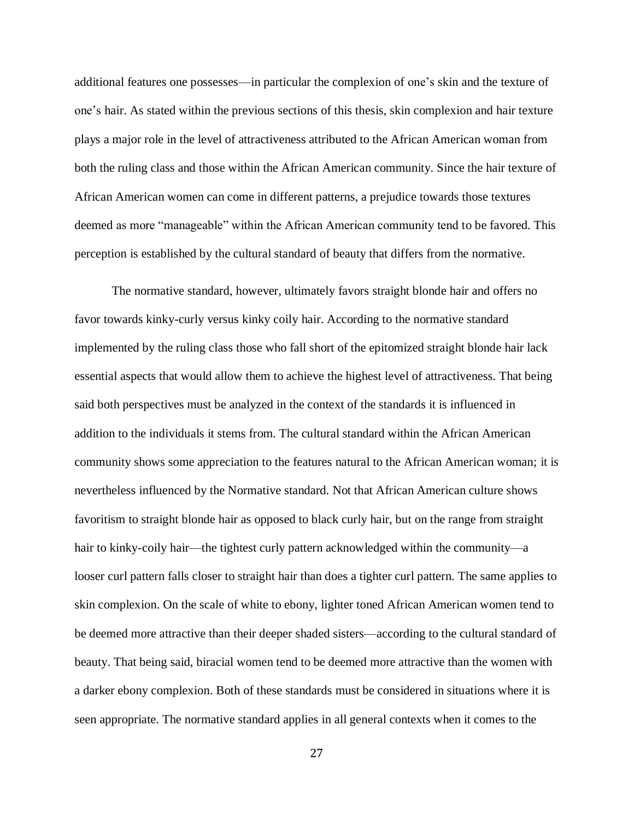additional features one possesses—in particular the complexion of one's skin and the texture of one's hair. As stated within the previous sections of this thesis, skin complexion and hair texture plays a major role in the level of attractiveness attributed to the African American woman from both the ruling class and those within the African American community. Since the hair texture of African American women can come in different patterns, a prejudice towards those textures deemed as more "manageable" within the African American community tend to be favored. This perception is established by the cultural standard of beauty that differs from the normative.

The normative standard, however, ultimately favors straight blonde hair and offers no favor towards kinky-curly versus kinky coily hair. According to the normative standard implemented by the ruling class those who fall short of the epitomized straight blonde hair lack essential aspects that would allow them to achieve the highest level of attractiveness. That being said both perspectives must be analyzed in the context of the standards it is influenced in addition to the individuals it stems from. The cultural standard within the African American community shows some appreciation to the features natural to the African American woman; it is nevertheless influenced by the Normative standard. Not that African American culture shows favoritism to straight blonde hair as opposed to black curly hair, but on the range from straight hair to kinky-coily hair—the tightest curly pattern acknowledged within the community—a looser curl pattern falls closer to straight hair than does a tighter curl pattern. The same applies to skin complexion. On the scale of white to ebony, lighter toned African American women tend to be deemed more attractive than their deeper shaded sisters—according to the cultural standard of beauty. That being said, biracial women tend to be deemed more attractive than the women with a darker ebony complexion. Both of these standards must be considered in situations where it is seen appropriate. The normative standard applies in all general contexts when it comes to the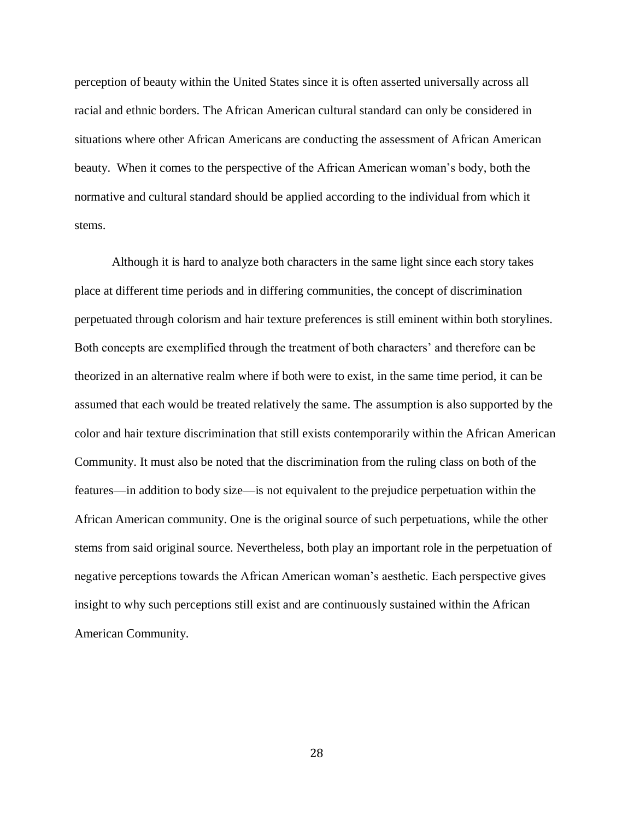perception of beauty within the United States since it is often asserted universally across all racial and ethnic borders. The African American cultural standard can only be considered in situations where other African Americans are conducting the assessment of African American beauty. When it comes to the perspective of the African American woman's body, both the normative and cultural standard should be applied according to the individual from which it stems.

Although it is hard to analyze both characters in the same light since each story takes place at different time periods and in differing communities, the concept of discrimination perpetuated through colorism and hair texture preferences is still eminent within both storylines. Both concepts are exemplified through the treatment of both characters' and therefore can be theorized in an alternative realm where if both were to exist, in the same time period, it can be assumed that each would be treated relatively the same. The assumption is also supported by the color and hair texture discrimination that still exists contemporarily within the African American Community. It must also be noted that the discrimination from the ruling class on both of the features—in addition to body size—is not equivalent to the prejudice perpetuation within the African American community. One is the original source of such perpetuations, while the other stems from said original source. Nevertheless, both play an important role in the perpetuation of negative perceptions towards the African American woman's aesthetic. Each perspective gives insight to why such perceptions still exist and are continuously sustained within the African American Community.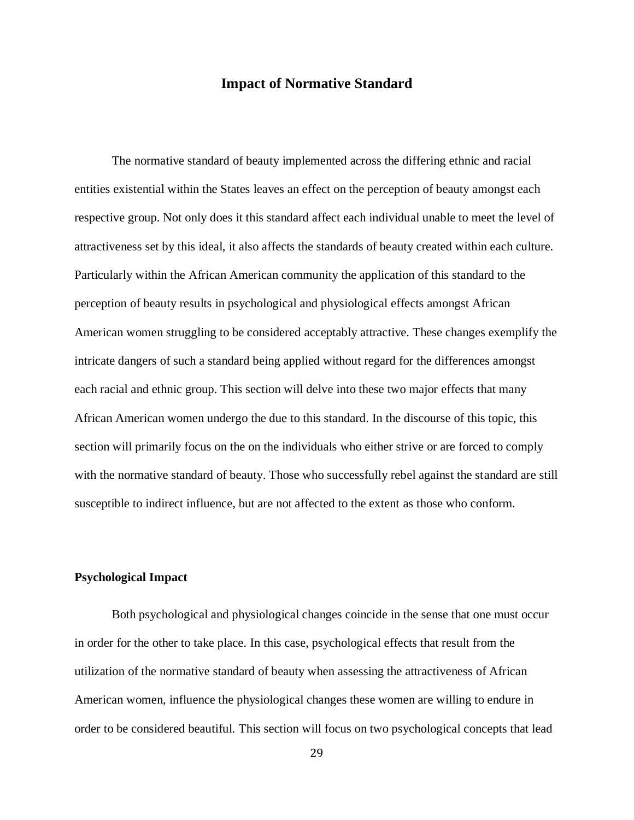# **Impact of Normative Standard**

The normative standard of beauty implemented across the differing ethnic and racial entities existential within the States leaves an effect on the perception of beauty amongst each respective group. Not only does it this standard affect each individual unable to meet the level of attractiveness set by this ideal, it also affects the standards of beauty created within each culture. Particularly within the African American community the application of this standard to the perception of beauty results in psychological and physiological effects amongst African American women struggling to be considered acceptably attractive. These changes exemplify the intricate dangers of such a standard being applied without regard for the differences amongst each racial and ethnic group. This section will delve into these two major effects that many African American women undergo the due to this standard. In the discourse of this topic, this section will primarily focus on the on the individuals who either strive or are forced to comply with the normative standard of beauty. Those who successfully rebel against the standard are still susceptible to indirect influence, but are not affected to the extent as those who conform.

#### **Psychological Impact**

Both psychological and physiological changes coincide in the sense that one must occur in order for the other to take place. In this case, psychological effects that result from the utilization of the normative standard of beauty when assessing the attractiveness of African American women, influence the physiological changes these women are willing to endure in order to be considered beautiful. This section will focus on two psychological concepts that lead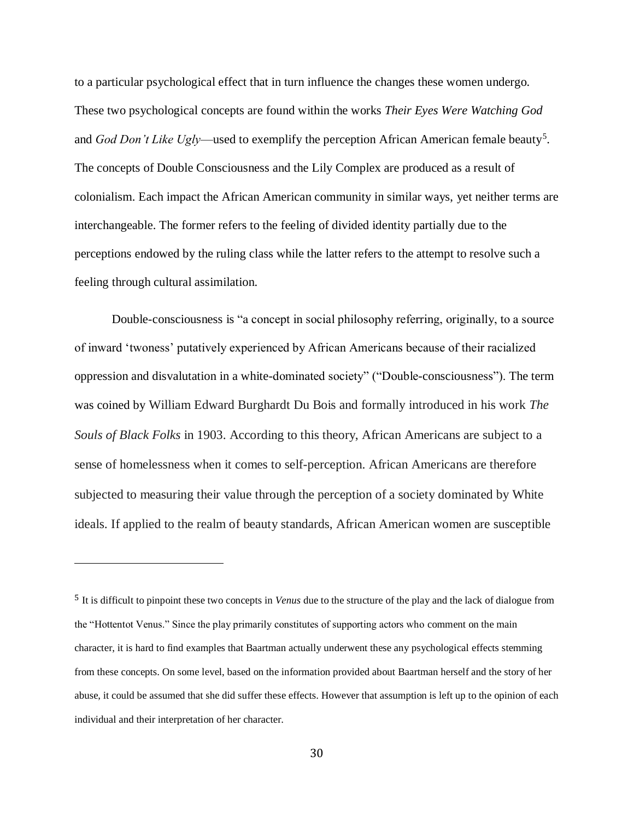to a particular psychological effect that in turn influence the changes these women undergo. These two psychological concepts are found within the works *Their Eyes Were Watching God*  and *God Don't Like Ugly*—used to exemplify the perception African American female beauty<sup>5</sup> . The concepts of Double Consciousness and the Lily Complex are produced as a result of colonialism. Each impact the African American community in similar ways, yet neither terms are interchangeable. The former refers to the feeling of divided identity partially due to the perceptions endowed by the ruling class while the latter refers to the attempt to resolve such a feeling through cultural assimilation.

Double-consciousness is "a concept in social philosophy referring, originally, to a source of inward 'twoness' putatively experienced by African Americans because of their racialized oppression and disvalutation in a white-dominated society" ("Double-consciousness"). The term was coined by William Edward Burghardt Du Bois and formally introduced in his work *The Souls of Black Folks* in 1903. According to this theory, African Americans are subject to a sense of homelessness when it comes to self-perception. African Americans are therefore subjected to measuring their value through the perception of a society dominated by White ideals. If applied to the realm of beauty standards, African American women are susceptible

 $\overline{a}$ 

<sup>5</sup> It is difficult to pinpoint these two concepts in *Venus* due to the structure of the play and the lack of dialogue from the "Hottentot Venus." Since the play primarily constitutes of supporting actors who comment on the main character, it is hard to find examples that Baartman actually underwent these any psychological effects stemming from these concepts. On some level, based on the information provided about Baartman herself and the story of her abuse, it could be assumed that she did suffer these effects. However that assumption is left up to the opinion of each individual and their interpretation of her character.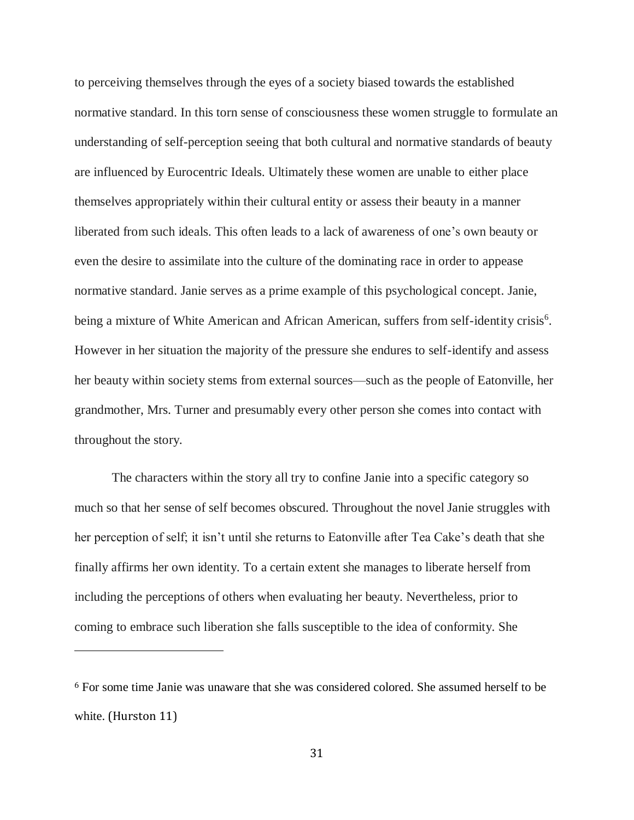to perceiving themselves through the eyes of a society biased towards the established normative standard. In this torn sense of consciousness these women struggle to formulate an understanding of self-perception seeing that both cultural and normative standards of beauty are influenced by Eurocentric Ideals. Ultimately these women are unable to either place themselves appropriately within their cultural entity or assess their beauty in a manner liberated from such ideals. This often leads to a lack of awareness of one's own beauty or even the desire to assimilate into the culture of the dominating race in order to appease normative standard. Janie serves as a prime example of this psychological concept. Janie, being a mixture of White American and African American, suffers from self-identity crisis<sup>6</sup>. However in her situation the majority of the pressure she endures to self-identify and assess her beauty within society stems from external sources—such as the people of Eatonville, her grandmother, Mrs. Turner and presumably every other person she comes into contact with throughout the story.

The characters within the story all try to confine Janie into a specific category so much so that her sense of self becomes obscured. Throughout the novel Janie struggles with her perception of self; it isn't until she returns to Eatonville after Tea Cake's death that she finally affirms her own identity. To a certain extent she manages to liberate herself from including the perceptions of others when evaluating her beauty. Nevertheless, prior to coming to embrace such liberation she falls susceptible to the idea of conformity. She

 $\overline{\phantom{a}}$ 

<sup>6</sup> For some time Janie was unaware that she was considered colored. She assumed herself to be white. (Hurston 11)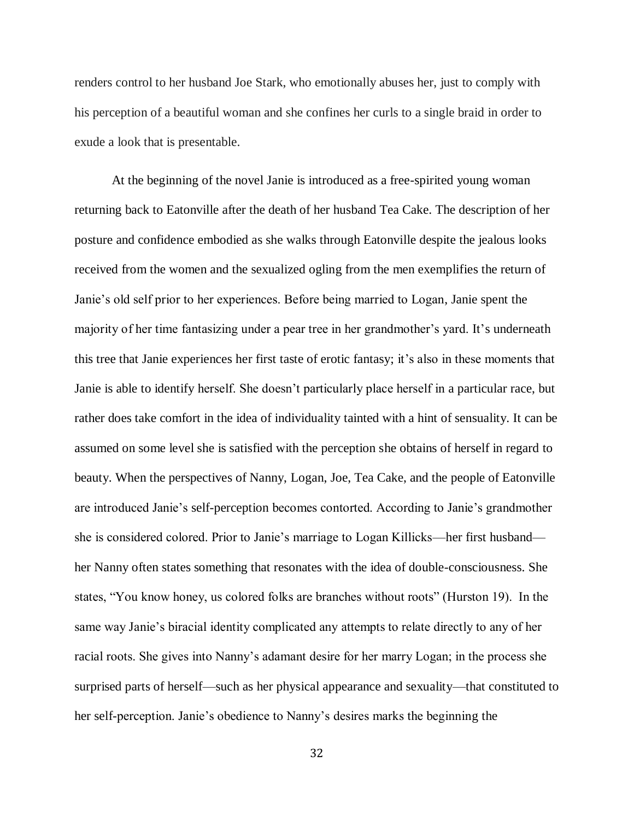renders control to her husband Joe Stark, who emotionally abuses her, just to comply with his perception of a beautiful woman and she confines her curls to a single braid in order to exude a look that is presentable.

At the beginning of the novel Janie is introduced as a free-spirited young woman returning back to Eatonville after the death of her husband Tea Cake. The description of her posture and confidence embodied as she walks through Eatonville despite the jealous looks received from the women and the sexualized ogling from the men exemplifies the return of Janie's old self prior to her experiences. Before being married to Logan, Janie spent the majority of her time fantasizing under a pear tree in her grandmother's yard. It's underneath this tree that Janie experiences her first taste of erotic fantasy; it's also in these moments that Janie is able to identify herself. She doesn't particularly place herself in a particular race, but rather does take comfort in the idea of individuality tainted with a hint of sensuality. It can be assumed on some level she is satisfied with the perception she obtains of herself in regard to beauty. When the perspectives of Nanny, Logan, Joe, Tea Cake, and the people of Eatonville are introduced Janie's self-perception becomes contorted. According to Janie's grandmother she is considered colored. Prior to Janie's marriage to Logan Killicks—her first husband her Nanny often states something that resonates with the idea of double-consciousness. She states, "You know honey, us colored folks are branches without roots" (Hurston 19). In the same way Janie's biracial identity complicated any attempts to relate directly to any of her racial roots. She gives into Nanny's adamant desire for her marry Logan; in the process she surprised parts of herself—such as her physical appearance and sexuality—that constituted to her self-perception. Janie's obedience to Nanny's desires marks the beginning the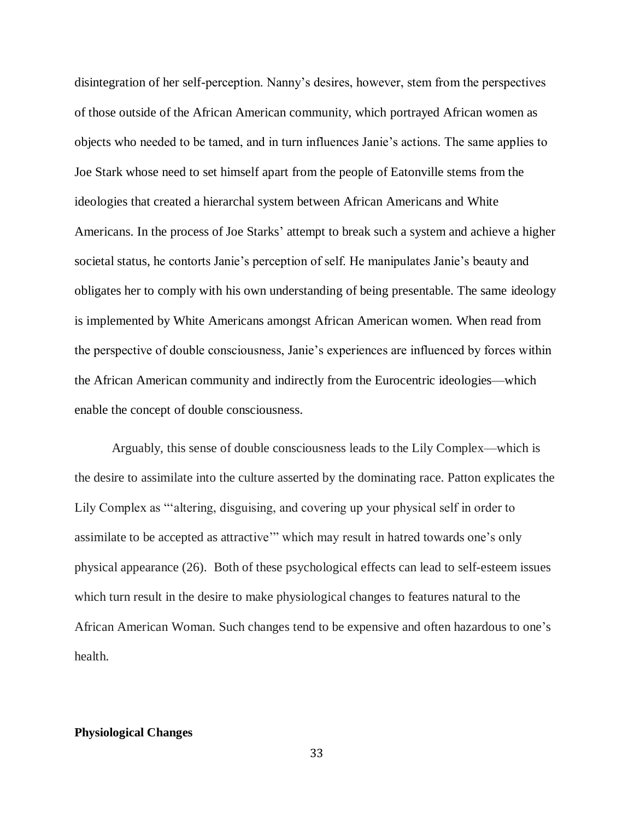disintegration of her self-perception. Nanny's desires, however, stem from the perspectives of those outside of the African American community, which portrayed African women as objects who needed to be tamed, and in turn influences Janie's actions. The same applies to Joe Stark whose need to set himself apart from the people of Eatonville stems from the ideologies that created a hierarchal system between African Americans and White Americans. In the process of Joe Starks' attempt to break such a system and achieve a higher societal status, he contorts Janie's perception of self. He manipulates Janie's beauty and obligates her to comply with his own understanding of being presentable. The same ideology is implemented by White Americans amongst African American women. When read from the perspective of double consciousness, Janie's experiences are influenced by forces within the African American community and indirectly from the Eurocentric ideologies—which enable the concept of double consciousness.

Arguably, this sense of double consciousness leads to the Lily Complex—which is the desire to assimilate into the culture asserted by the dominating race. Patton explicates the Lily Complex as "'altering, disguising, and covering up your physical self in order to assimilate to be accepted as attractive'" which may result in hatred towards one's only physical appearance (26). Both of these psychological effects can lead to self-esteem issues which turn result in the desire to make physiological changes to features natural to the African American Woman. Such changes tend to be expensive and often hazardous to one's health.

#### **Physiological Changes**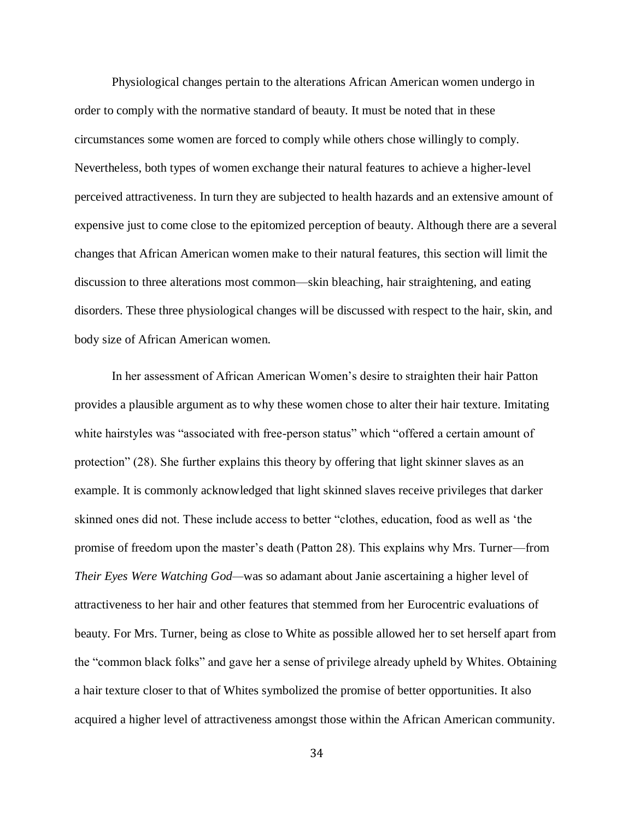Physiological changes pertain to the alterations African American women undergo in order to comply with the normative standard of beauty. It must be noted that in these circumstances some women are forced to comply while others chose willingly to comply. Nevertheless, both types of women exchange their natural features to achieve a higher-level perceived attractiveness. In turn they are subjected to health hazards and an extensive amount of expensive just to come close to the epitomized perception of beauty. Although there are a several changes that African American women make to their natural features, this section will limit the discussion to three alterations most common—skin bleaching, hair straightening, and eating disorders. These three physiological changes will be discussed with respect to the hair, skin, and body size of African American women.

In her assessment of African American Women's desire to straighten their hair Patton provides a plausible argument as to why these women chose to alter their hair texture. Imitating white hairstyles was "associated with free-person status" which "offered a certain amount of protection" (28). She further explains this theory by offering that light skinner slaves as an example. It is commonly acknowledged that light skinned slaves receive privileges that darker skinned ones did not. These include access to better "clothes, education, food as well as 'the promise of freedom upon the master's death (Patton 28). This explains why Mrs. Turner—from *Their Eyes Were Watching God—*was so adamant about Janie ascertaining a higher level of attractiveness to her hair and other features that stemmed from her Eurocentric evaluations of beauty*.* For Mrs. Turner, being as close to White as possible allowed her to set herself apart from the "common black folks" and gave her a sense of privilege already upheld by Whites. Obtaining a hair texture closer to that of Whites symbolized the promise of better opportunities. It also acquired a higher level of attractiveness amongst those within the African American community.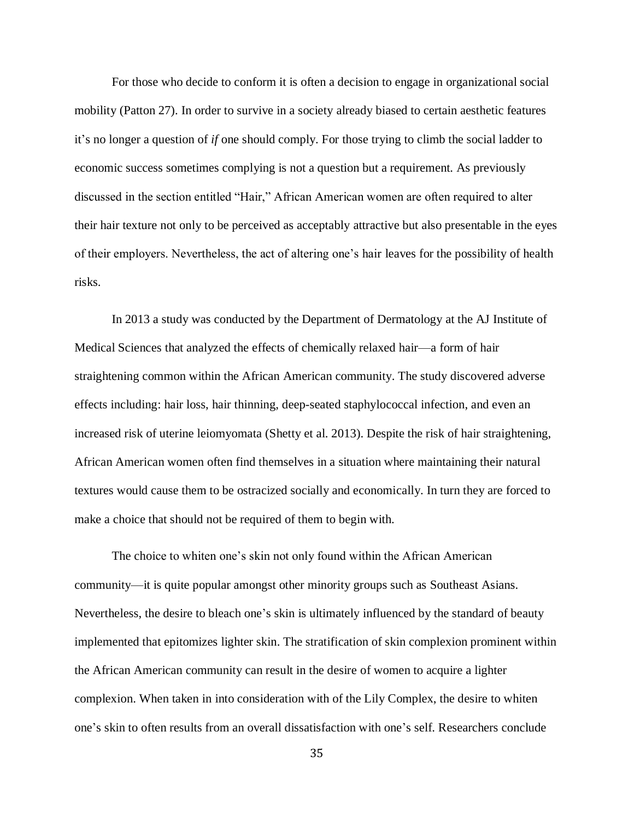For those who decide to conform it is often a decision to engage in organizational social mobility (Patton 27). In order to survive in a society already biased to certain aesthetic features it's no longer a question of *if* one should comply. For those trying to climb the social ladder to economic success sometimes complying is not a question but a requirement. As previously discussed in the section entitled "Hair," African American women are often required to alter their hair texture not only to be perceived as acceptably attractive but also presentable in the eyes of their employers. Nevertheless, the act of altering one's hair leaves for the possibility of health risks.

In 2013 a study was conducted by the Department of Dermatology at the AJ Institute of Medical Sciences that analyzed the effects of chemically relaxed hair—a form of hair straightening common within the African American community. The study discovered adverse effects including: hair loss, hair thinning, deep-seated staphylococcal infection, and even an increased risk of uterine leiomyomata (Shetty et al. 2013). Despite the risk of hair straightening, African American women often find themselves in a situation where maintaining their natural textures would cause them to be ostracized socially and economically. In turn they are forced to make a choice that should not be required of them to begin with.

The choice to whiten one's skin not only found within the African American community—it is quite popular amongst other minority groups such as Southeast Asians. Nevertheless, the desire to bleach one's skin is ultimately influenced by the standard of beauty implemented that epitomizes lighter skin. The stratification of skin complexion prominent within the African American community can result in the desire of women to acquire a lighter complexion. When taken in into consideration with of the Lily Complex, the desire to whiten one's skin to often results from an overall dissatisfaction with one's self. Researchers conclude

35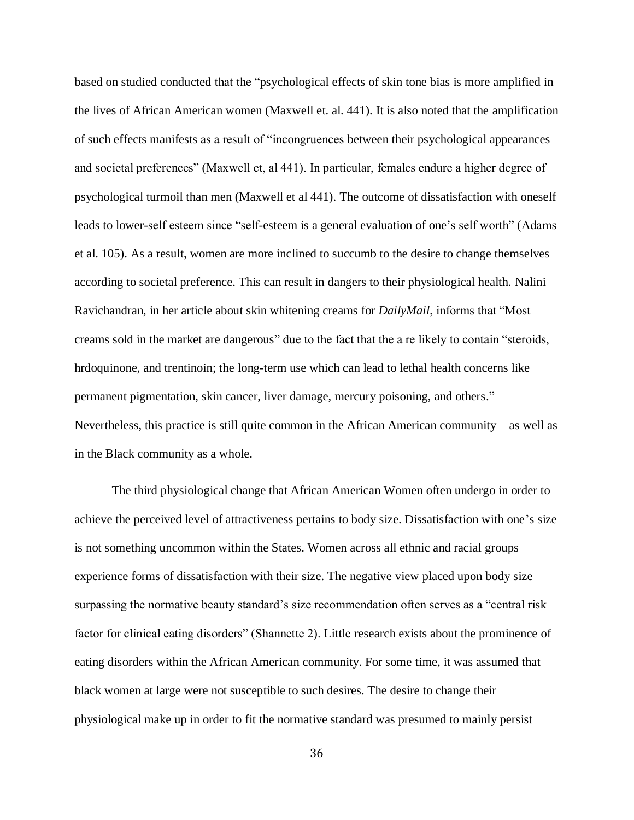based on studied conducted that the "psychological effects of skin tone bias is more amplified in the lives of African American women (Maxwell et. al. 441). It is also noted that the amplification of such effects manifests as a result of "incongruences between their psychological appearances and societal preferences" (Maxwell et, al 441). In particular, females endure a higher degree of psychological turmoil than men (Maxwell et al 441). The outcome of dissatisfaction with oneself leads to lower-self esteem since "self-esteem is a general evaluation of one's self worth" (Adams et al. 105). As a result, women are more inclined to succumb to the desire to change themselves according to societal preference. This can result in dangers to their physiological health. Nalini Ravichandran, in her article about skin whitening creams for *DailyMail*, informs that "Most creams sold in the market are dangerous" due to the fact that the a re likely to contain "steroids, hrdoquinone, and trentinoin; the long-term use which can lead to lethal health concerns like permanent pigmentation, skin cancer, liver damage, mercury poisoning, and others." Nevertheless, this practice is still quite common in the African American community—as well as in the Black community as a whole.

The third physiological change that African American Women often undergo in order to achieve the perceived level of attractiveness pertains to body size. Dissatisfaction with one's size is not something uncommon within the States. Women across all ethnic and racial groups experience forms of dissatisfaction with their size. The negative view placed upon body size surpassing the normative beauty standard's size recommendation often serves as a "central risk factor for clinical eating disorders" (Shannette 2). Little research exists about the prominence of eating disorders within the African American community. For some time, it was assumed that black women at large were not susceptible to such desires. The desire to change their physiological make up in order to fit the normative standard was presumed to mainly persist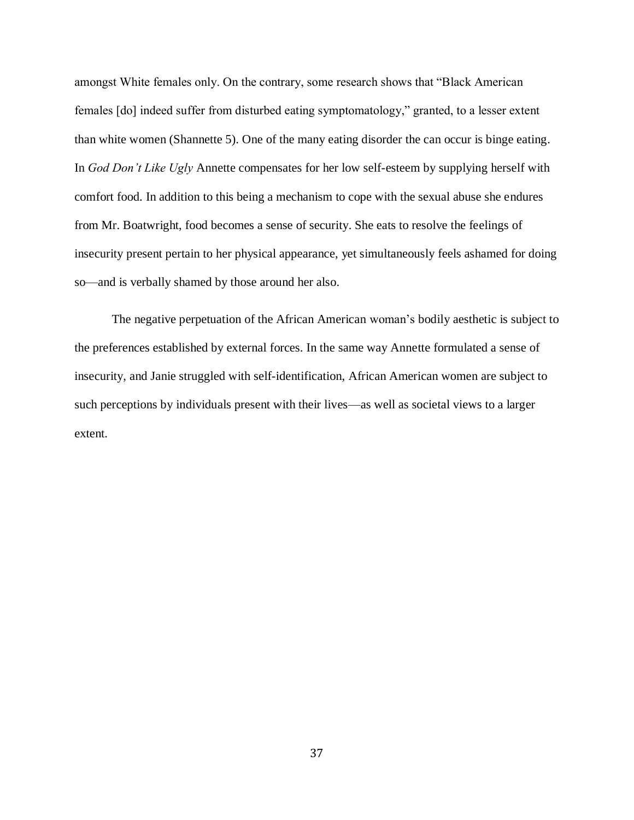amongst White females only. On the contrary, some research shows that "Black American females [do] indeed suffer from disturbed eating symptomatology," granted, to a lesser extent than white women (Shannette 5). One of the many eating disorder the can occur is binge eating. In *God Don't Like Ugly* Annette compensates for her low self-esteem by supplying herself with comfort food. In addition to this being a mechanism to cope with the sexual abuse she endures from Mr. Boatwright, food becomes a sense of security. She eats to resolve the feelings of insecurity present pertain to her physical appearance, yet simultaneously feels ashamed for doing so—and is verbally shamed by those around her also.

The negative perpetuation of the African American woman's bodily aesthetic is subject to the preferences established by external forces. In the same way Annette formulated a sense of insecurity, and Janie struggled with self-identification, African American women are subject to such perceptions by individuals present with their lives—as well as societal views to a larger extent.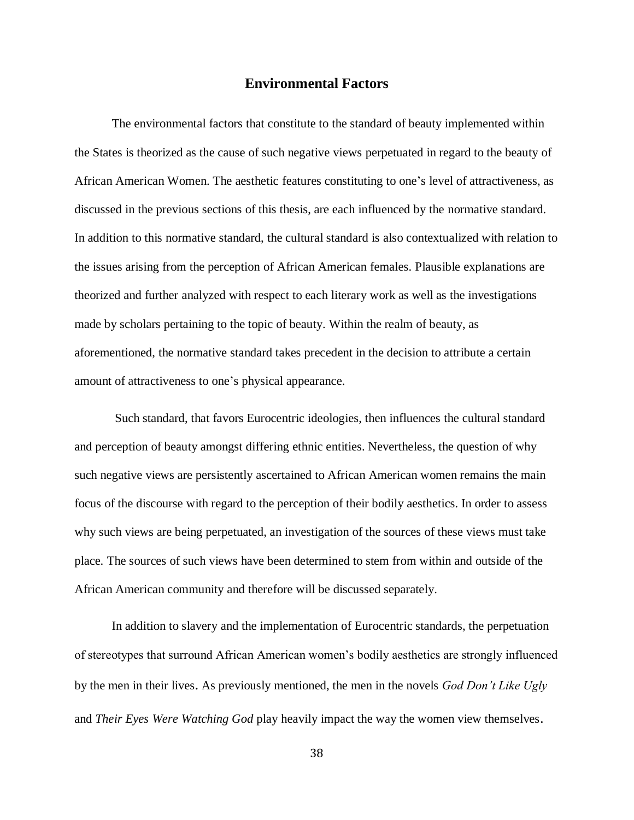## **Environmental Factors**

The environmental factors that constitute to the standard of beauty implemented within the States is theorized as the cause of such negative views perpetuated in regard to the beauty of African American Women. The aesthetic features constituting to one's level of attractiveness, as discussed in the previous sections of this thesis, are each influenced by the normative standard. In addition to this normative standard, the cultural standard is also contextualized with relation to the issues arising from the perception of African American females. Plausible explanations are theorized and further analyzed with respect to each literary work as well as the investigations made by scholars pertaining to the topic of beauty. Within the realm of beauty, as aforementioned, the normative standard takes precedent in the decision to attribute a certain amount of attractiveness to one's physical appearance.

Such standard, that favors Eurocentric ideologies, then influences the cultural standard and perception of beauty amongst differing ethnic entities. Nevertheless, the question of why such negative views are persistently ascertained to African American women remains the main focus of the discourse with regard to the perception of their bodily aesthetics. In order to assess why such views are being perpetuated, an investigation of the sources of these views must take place. The sources of such views have been determined to stem from within and outside of the African American community and therefore will be discussed separately.

In addition to slavery and the implementation of Eurocentric standards, the perpetuation of stereotypes that surround African American women's bodily aesthetics are strongly influenced by the men in their lives. As previously mentioned, the men in the novels *God Don't Like Ugly*  and *Their Eyes Were Watching God* play heavily impact the way the women view themselves.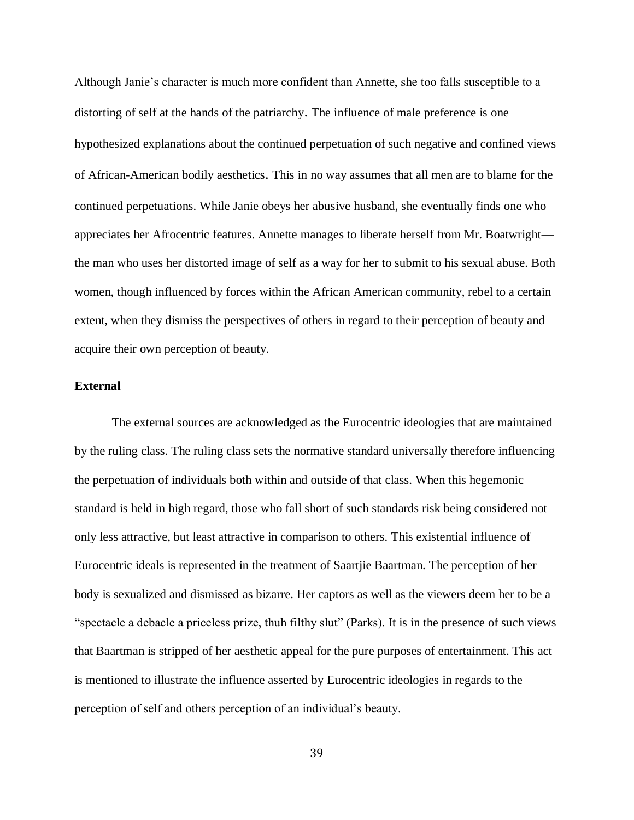Although Janie's character is much more confident than Annette, she too falls susceptible to a distorting of self at the hands of the patriarchy. The influence of male preference is one hypothesized explanations about the continued perpetuation of such negative and confined views of African-American bodily aesthetics. This in no way assumes that all men are to blame for the continued perpetuations. While Janie obeys her abusive husband, she eventually finds one who appreciates her Afrocentric features. Annette manages to liberate herself from Mr. Boatwright the man who uses her distorted image of self as a way for her to submit to his sexual abuse. Both women, though influenced by forces within the African American community, rebel to a certain extent, when they dismiss the perspectives of others in regard to their perception of beauty and acquire their own perception of beauty.

#### **External**

The external sources are acknowledged as the Eurocentric ideologies that are maintained by the ruling class. The ruling class sets the normative standard universally therefore influencing the perpetuation of individuals both within and outside of that class. When this hegemonic standard is held in high regard, those who fall short of such standards risk being considered not only less attractive, but least attractive in comparison to others. This existential influence of Eurocentric ideals is represented in the treatment of Saartjie Baartman. The perception of her body is sexualized and dismissed as bizarre. Her captors as well as the viewers deem her to be a "spectacle a debacle a priceless prize, thuh filthy slut" (Parks). It is in the presence of such views that Baartman is stripped of her aesthetic appeal for the pure purposes of entertainment. This act is mentioned to illustrate the influence asserted by Eurocentric ideologies in regards to the perception of self and others perception of an individual's beauty.

39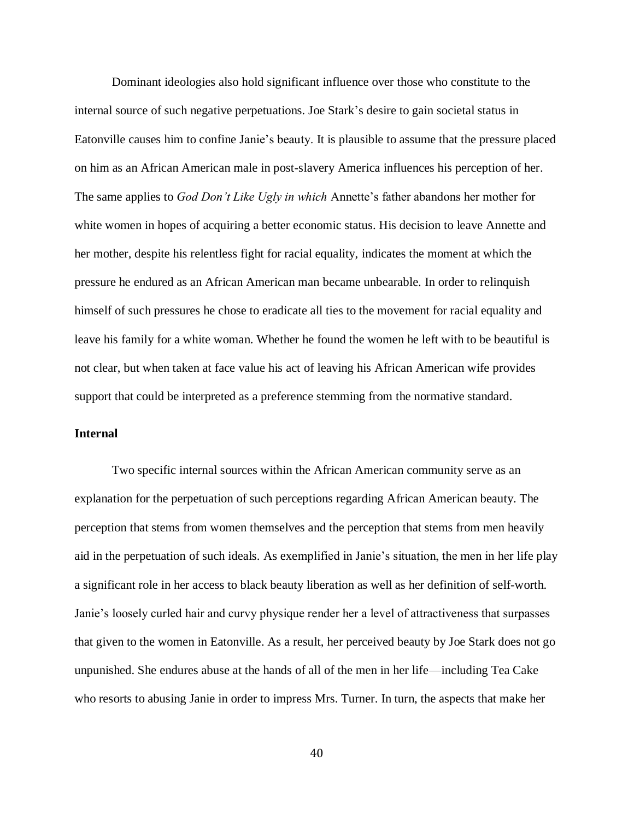Dominant ideologies also hold significant influence over those who constitute to the internal source of such negative perpetuations. Joe Stark's desire to gain societal status in Eatonville causes him to confine Janie's beauty. It is plausible to assume that the pressure placed on him as an African American male in post-slavery America influences his perception of her. The same applies to *God Don't Like Ugly in which* Annette's father abandons her mother for white women in hopes of acquiring a better economic status. His decision to leave Annette and her mother, despite his relentless fight for racial equality, indicates the moment at which the pressure he endured as an African American man became unbearable. In order to relinquish himself of such pressures he chose to eradicate all ties to the movement for racial equality and leave his family for a white woman. Whether he found the women he left with to be beautiful is not clear, but when taken at face value his act of leaving his African American wife provides support that could be interpreted as a preference stemming from the normative standard.

## **Internal**

Two specific internal sources within the African American community serve as an explanation for the perpetuation of such perceptions regarding African American beauty. The perception that stems from women themselves and the perception that stems from men heavily aid in the perpetuation of such ideals. As exemplified in Janie's situation, the men in her life play a significant role in her access to black beauty liberation as well as her definition of self-worth. Janie's loosely curled hair and curvy physique render her a level of attractiveness that surpasses that given to the women in Eatonville. As a result, her perceived beauty by Joe Stark does not go unpunished. She endures abuse at the hands of all of the men in her life—including Tea Cake who resorts to abusing Janie in order to impress Mrs. Turner. In turn, the aspects that make her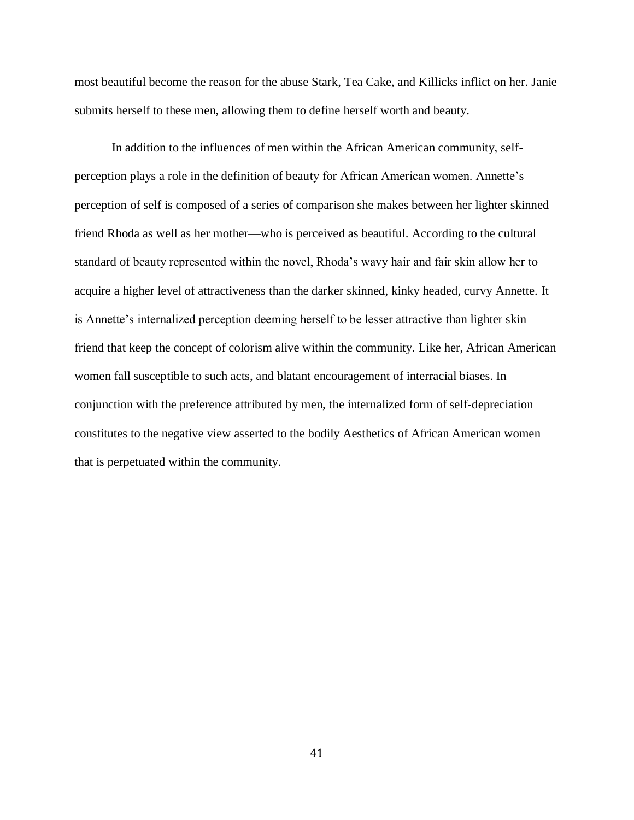most beautiful become the reason for the abuse Stark, Tea Cake, and Killicks inflict on her. Janie submits herself to these men, allowing them to define herself worth and beauty.

In addition to the influences of men within the African American community, selfperception plays a role in the definition of beauty for African American women. Annette's perception of self is composed of a series of comparison she makes between her lighter skinned friend Rhoda as well as her mother—who is perceived as beautiful. According to the cultural standard of beauty represented within the novel, Rhoda's wavy hair and fair skin allow her to acquire a higher level of attractiveness than the darker skinned, kinky headed, curvy Annette. It is Annette's internalized perception deeming herself to be lesser attractive than lighter skin friend that keep the concept of colorism alive within the community. Like her, African American women fall susceptible to such acts, and blatant encouragement of interracial biases. In conjunction with the preference attributed by men, the internalized form of self-depreciation constitutes to the negative view asserted to the bodily Aesthetics of African American women that is perpetuated within the community.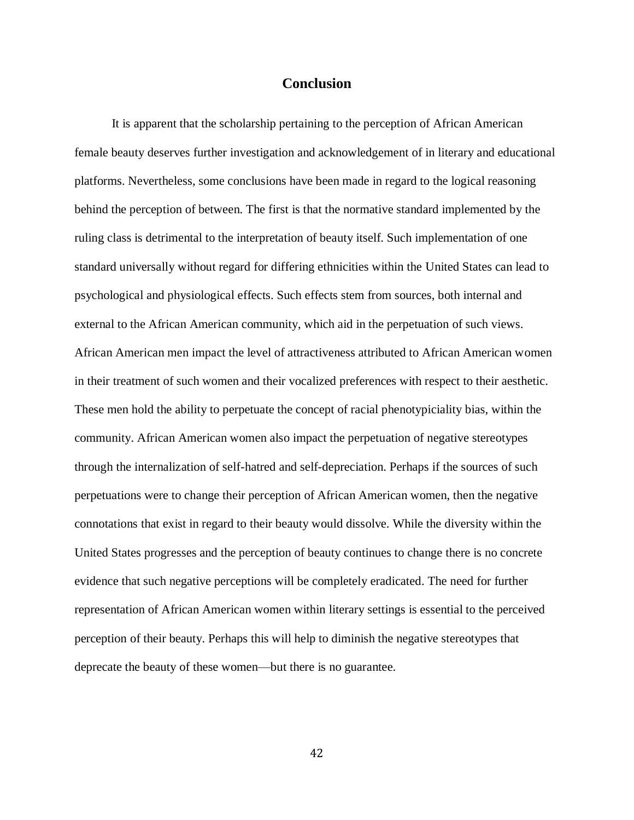# **Conclusion**

It is apparent that the scholarship pertaining to the perception of African American female beauty deserves further investigation and acknowledgement of in literary and educational platforms. Nevertheless, some conclusions have been made in regard to the logical reasoning behind the perception of between. The first is that the normative standard implemented by the ruling class is detrimental to the interpretation of beauty itself. Such implementation of one standard universally without regard for differing ethnicities within the United States can lead to psychological and physiological effects. Such effects stem from sources, both internal and external to the African American community, which aid in the perpetuation of such views. African American men impact the level of attractiveness attributed to African American women in their treatment of such women and their vocalized preferences with respect to their aesthetic. These men hold the ability to perpetuate the concept of racial phenotypiciality bias, within the community. African American women also impact the perpetuation of negative stereotypes through the internalization of self-hatred and self-depreciation. Perhaps if the sources of such perpetuations were to change their perception of African American women, then the negative connotations that exist in regard to their beauty would dissolve. While the diversity within the United States progresses and the perception of beauty continues to change there is no concrete evidence that such negative perceptions will be completely eradicated. The need for further representation of African American women within literary settings is essential to the perceived perception of their beauty. Perhaps this will help to diminish the negative stereotypes that deprecate the beauty of these women—but there is no guarantee.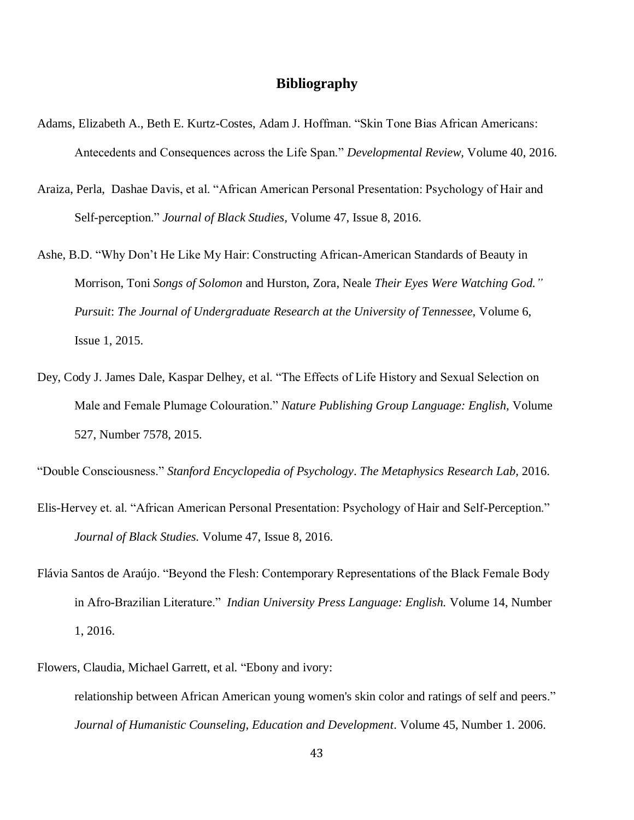# **Bibliography**

- Adams, Elizabeth A., Beth E. Kurtz-Costes, Adam J. Hoffman. "Skin Tone Bias African Americans: Antecedents and Consequences across the Life Span." *Developmental Review,* Volume 40, 2016.
- Araiza, Perla, Dashae Davis, et al. "African American Personal Presentation: Psychology of Hair and Self-perception." *Journal of Black Studies,* Volume 47, Issue 8, 2016.
- Ashe, B.D. "Why Don't He Like My Hair: Constructing African-American Standards of Beauty in Morrison, Toni *Songs of Solomon* and Hurston, Zora, Neale *Their Eyes Were Watching God." Pursuit*: *The Journal of Undergraduate Research at the University of Tennessee,* Volume 6, Issue 1, 2015.
- Dey, Cody J. James Dale, Kaspar Delhey, et al. "The Effects of Life History and Sexual Selection on Male and Female Plumage Colouration." *Nature Publishing Group Language: English,* Volume 527, Number 7578, 2015.

"Double Consciousness." *Stanford Encyclopedia of Psychology*. *The Metaphysics Research Lab,* 2016.

- Elis-Hervey et. al. "African American Personal Presentation: Psychology of Hair and Self-Perception." *Journal of Black Studies.* Volume 47, Issue 8, 2016.
- Flávia Santos de Araújo. "Beyond the Flesh: Contemporary Representations of the Black Female Body in Afro-Brazilian Literature." *Indian University Press Language: English.* Volume 14, Number 1, 2016.
- Flowers, Claudia, Michael Garrett, et al. ["Ebony](http://eds.a.ebscohost.com.ezproxy.net.ucf.edu/eds/viewarticle/render?data=dGJyMPPp44rp2%2fdV0%2bnjisfk5Ie42fOK8NvsjKzj34HspON88bavSa2ntkewpq9Onq64S7ews0iet8s%2b8ujfhvHX4Yzn5eyB4rOvULGnt0u2q7ZOpOLfhuWz44ak2uBV49rxf%2bPXpIzf3btZzJzfhrvb4ovl2epGr6qzTbCsrki1nOSH8OPfjLvc84Tq6uOQ8gAA&vid=63&sid=31c4cf1c-f4f9-41cb-9e47-19cc45a2ba5d@sessionmgr103&hid=4102) and ivory: [relationship](http://eds.a.ebscohost.com.ezproxy.net.ucf.edu/eds/viewarticle/render?data=dGJyMPPp44rp2%2fdV0%2bnjisfk5Ie42fOK8NvsjKzj34HspON88bavSa2ntkewpq9Onq64S7ews0iet8s%2b8ujfhvHX4Yzn5eyB4rOvULGnt0u2q7ZOpOLfhuWz44ak2uBV49rxf%2bPXpIzf3btZzJzfhrvb4ovl2epGr6qzTbCsrki1nOSH8OPfjLvc84Tq6uOQ8gAA&vid=63&sid=31c4cf1c-f4f9-41cb-9e47-19cc45a2ba5d@sessionmgr103&hid=4102) between African American young women's skin color and ratings of self and peers." *Journal of Humanistic Counseling, Education and Development*. Volume 45, Number 1. 2006.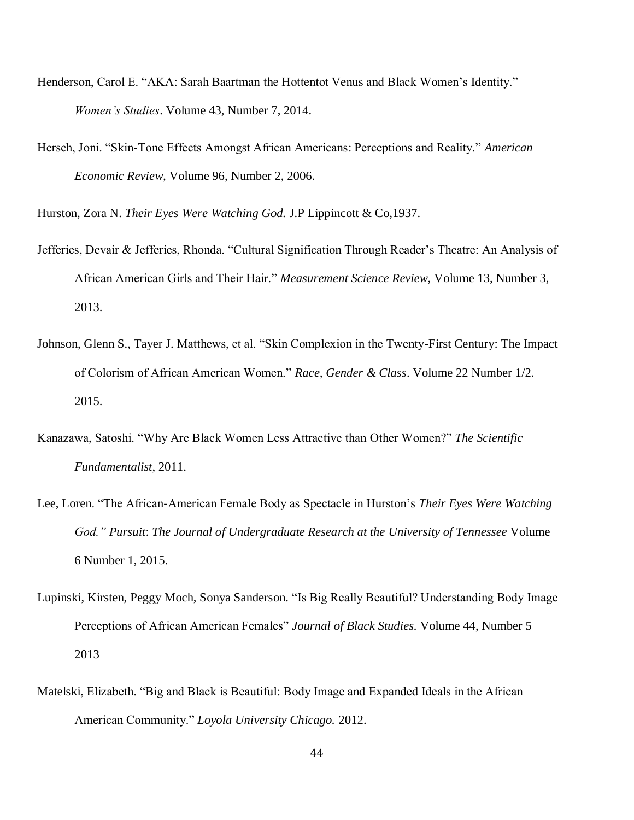- Henderson, Carol E. "AKA: Sarah Baartman the Hottentot Venus and Black Women's Identity." *Women's Studies*. Volume 43, Number 7, 2014.
- Hersch, Joni. "Skin-Tone Effects Amongst African Americans: Perceptions and Reality." *American Economic Review,* Volume 96, Number 2, 2006.

Hurston, Zora N. *Their Eyes Were Watching God.* J.P Lippincott & Co,1937.

- Jefferies, Devair & Jefferies, Rhonda. "Cultural Signification Through Reader's Theatre: An Analysis of African American Girls and Their Hair." *Measurement Science Review,* Volume 13, Number 3, 2013.
- Johnson, Glenn S., Tayer J. Matthews, et al. "Skin Complexion in the Twenty-First Century: The Impact of Colorism of African American Women." *Race, Gender & Class*. Volume 22 Number 1/2. 2015.
- Kanazawa, Satoshi. "Why Are Black Women Less Attractive than Other Women?" *The Scientific Fundamentalist*, 2011.
- Lee, Loren. "The African-American Female Body as Spectacle in Hurston's *Their Eyes Were Watching God." Pursuit*: *The Journal of Undergraduate Research at the University of Tennessee* Volume 6 Number 1, 2015.
- Lupinski, Kirsten, Peggy Moch, Sonya Sanderson. "Is Big Really Beautiful? Understanding Body Image Perceptions of African American Females" *Journal of Black Studies.* Volume 44, Number 5 2013
- Matelski, Elizabeth. "Big and Black is Beautiful: Body Image and Expanded Ideals in the African American Community." *Loyola University Chicago.* 2012.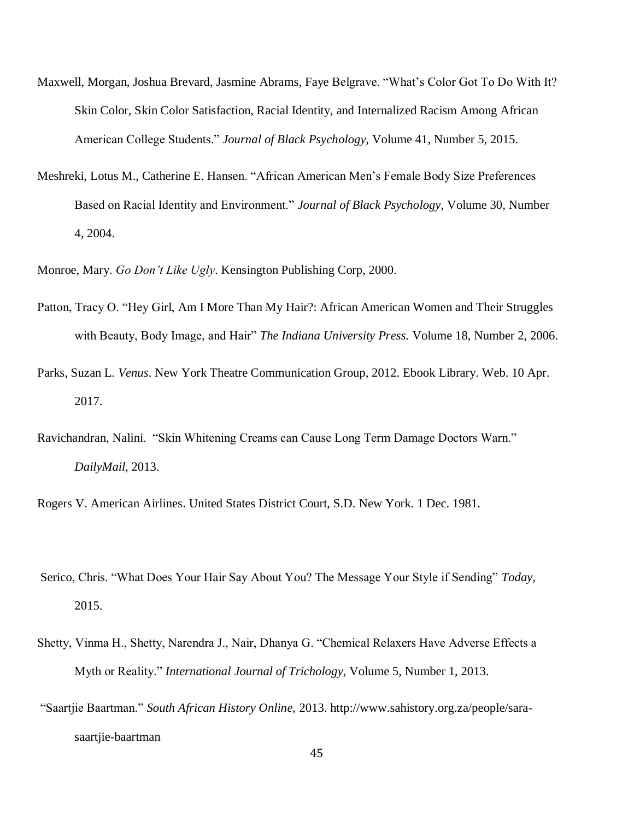- Maxwell, Morgan, Joshua Brevard, Jasmine Abrams, Faye Belgrave. "What's Color Got To Do With It? Skin Color, Skin Color Satisfaction, Racial Identity, and Internalized Racism Among African American College Students." *Journal of Black Psychology,* Volume 41, Number 5, 2015.
- Meshreki, Lotus M., Catherine E. Hansen. "African American Men's Female Body Size Preferences Based on Racial Identity and Environment." *Journal of Black Psychology,* Volume 30, Number 4, 2004.

Monroe, Mary. *Go Don't Like Ugly*. Kensington Publishing Corp, 2000.

- Patton, Tracy O. "Hey Girl, Am I More Than My Hair?: African American Women and Their Struggles with Beauty, Body Image, and Hair" *The Indiana University Press.* Volume 18, Number 2, 2006.
- Parks, Suzan L. *Venus*. New York Theatre Communication Group, 2012. Ebook Library. Web. 10 Apr. 2017.
- Ravichandran, Nalini. "Skin Whitening Creams can Cause Long Term Damage Doctors Warn." *DailyMail,* 2013.

Rogers V. American Airlines. United States District Court, S.D. New York. 1 Dec. 1981.

- Serico, Chris. "What Does Your Hair Say About You? The Message Your Style if Sending" *Today,*  2015.
- Shetty, Vinma H., Shetty, Narendra J., Nair, Dhanya G. "Chemical Relaxers Have Adverse Effects a Myth or Reality." *International Journal of Trichology,* Volume 5, Number 1, 2013.
- "Saartjie Baartman." *South African History Online,* 2013. http://www.sahistory.org.za/people/sarasaartjie-baartman